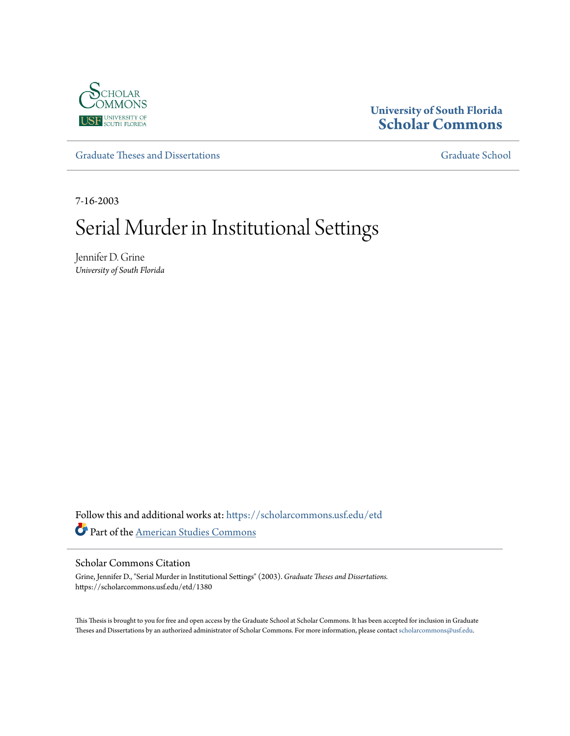

# **University of South Florida [Scholar Commons](https://scholarcommons.usf.edu/?utm_source=scholarcommons.usf.edu%2Fetd%2F1380&utm_medium=PDF&utm_campaign=PDFCoverPages)**

[Graduate Theses and Dissertations](https://scholarcommons.usf.edu/etd?utm_source=scholarcommons.usf.edu%2Fetd%2F1380&utm_medium=PDF&utm_campaign=PDFCoverPages) [Graduate School](https://scholarcommons.usf.edu/grad?utm_source=scholarcommons.usf.edu%2Fetd%2F1380&utm_medium=PDF&utm_campaign=PDFCoverPages) Craduate School

7-16-2003

# Serial Murder in Institutional Settings

Jennifer D. Grine *University of South Florida*

Follow this and additional works at: [https://scholarcommons.usf.edu/etd](https://scholarcommons.usf.edu/etd?utm_source=scholarcommons.usf.edu%2Fetd%2F1380&utm_medium=PDF&utm_campaign=PDFCoverPages) Part of the [American Studies Commons](http://network.bepress.com/hgg/discipline/439?utm_source=scholarcommons.usf.edu%2Fetd%2F1380&utm_medium=PDF&utm_campaign=PDFCoverPages)

#### Scholar Commons Citation

Grine, Jennifer D., "Serial Murder in Institutional Settings" (2003). *Graduate Theses and Dissertations.* https://scholarcommons.usf.edu/etd/1380

This Thesis is brought to you for free and open access by the Graduate School at Scholar Commons. It has been accepted for inclusion in Graduate Theses and Dissertations by an authorized administrator of Scholar Commons. For more information, please contact [scholarcommons@usf.edu.](mailto:scholarcommons@usf.edu)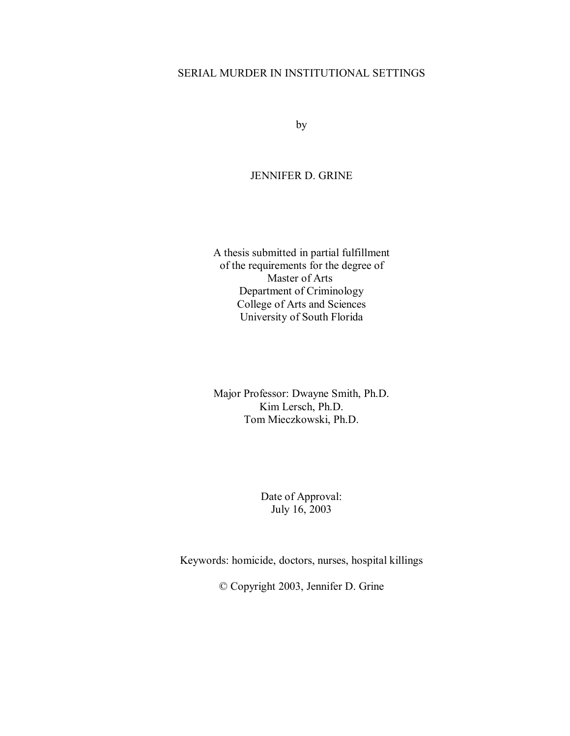# SERIAL MURDER IN INSTITUTIONAL SETTINGS

by

# JENNIFER D. GRINE

A thesis submitted in partial fulfillment of the requirements for the degree of Master of Arts Department of Criminology College of Arts and Sciences University of South Florida

Major Professor: Dwayne Smith, Ph.D. Kim Lersch, Ph.D. Tom Mieczkowski, Ph.D.

> Date of Approval: July 16, 2003

Keywords: homicide, doctors, nurses, hospital killings

© Copyright 2003, Jennifer D. Grine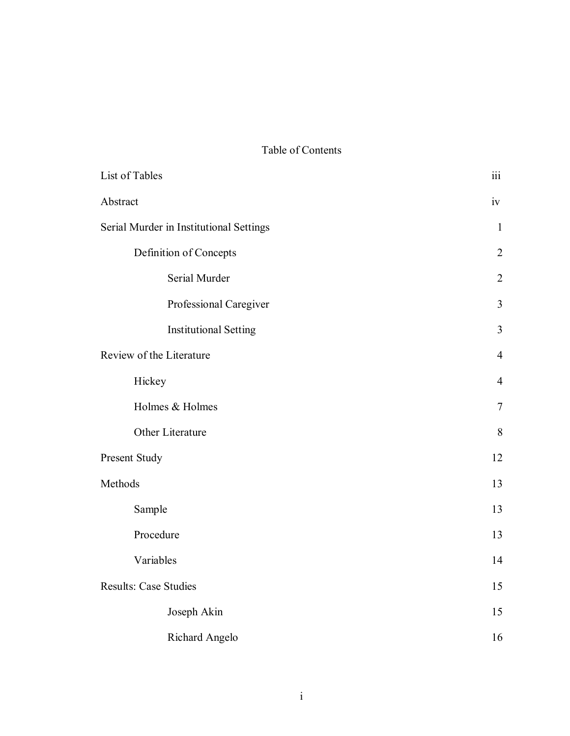# Table of Contents

| List of Tables                          | $\overline{111}$ |
|-----------------------------------------|------------------|
| Abstract                                | iv               |
| Serial Murder in Institutional Settings | $\mathbf{1}$     |
| Definition of Concepts                  | $\overline{2}$   |
| Serial Murder                           | $\overline{2}$   |
| Professional Caregiver                  | 3                |
| <b>Institutional Setting</b>            | 3                |
| Review of the Literature                | $\overline{4}$   |
| Hickey                                  | $\overline{4}$   |
| Holmes & Holmes                         | $\tau$           |
| Other Literature                        | 8                |
| Present Study                           | 12               |
| Methods                                 | 13               |
| Sample                                  | 13               |
| Procedure                               | 13               |
| Variables                               | 14               |
| <b>Results: Case Studies</b>            | 15               |
| Joseph Akin                             | 15               |
| <b>Richard Angelo</b>                   | 16               |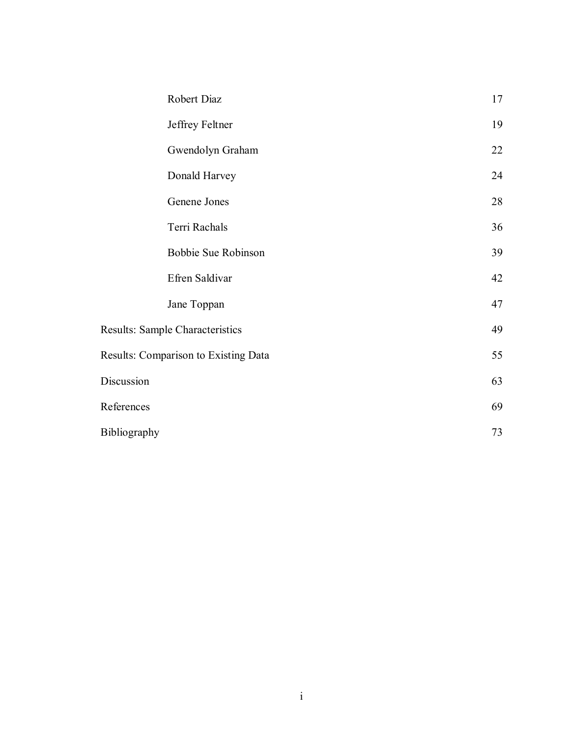| Robert Diaz  |                                      | 17 |
|--------------|--------------------------------------|----|
|              | Jeffrey Feltner                      | 19 |
|              | Gwendolyn Graham                     | 22 |
|              | Donald Harvey                        | 24 |
|              | Genene Jones                         | 28 |
|              | Terri Rachals                        | 36 |
|              | Bobbie Sue Robinson                  | 39 |
|              | Efren Saldivar                       | 42 |
|              | Jane Toppan                          | 47 |
|              | Results: Sample Characteristics      | 49 |
|              | Results: Comparison to Existing Data | 55 |
| Discussion   |                                      | 63 |
| References   |                                      | 69 |
| Bibliography |                                      | 73 |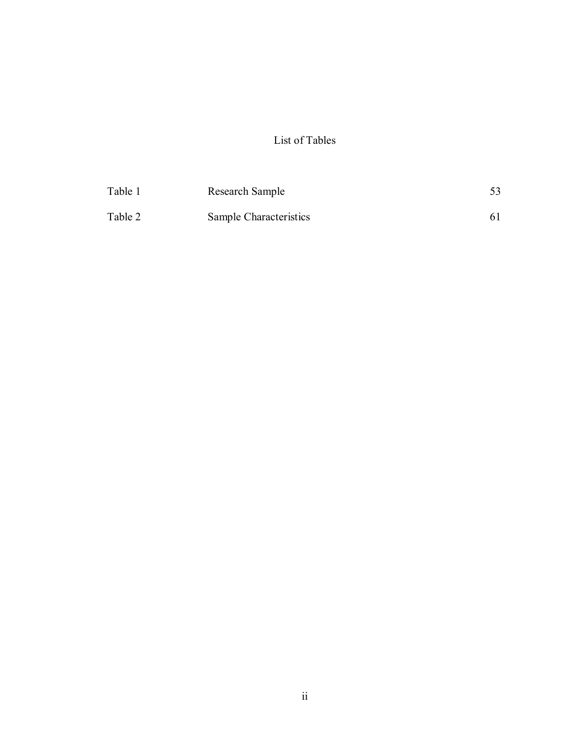# List of Tables

| Table 1 | Research Sample        |  |
|---------|------------------------|--|
| Table 2 | Sample Characteristics |  |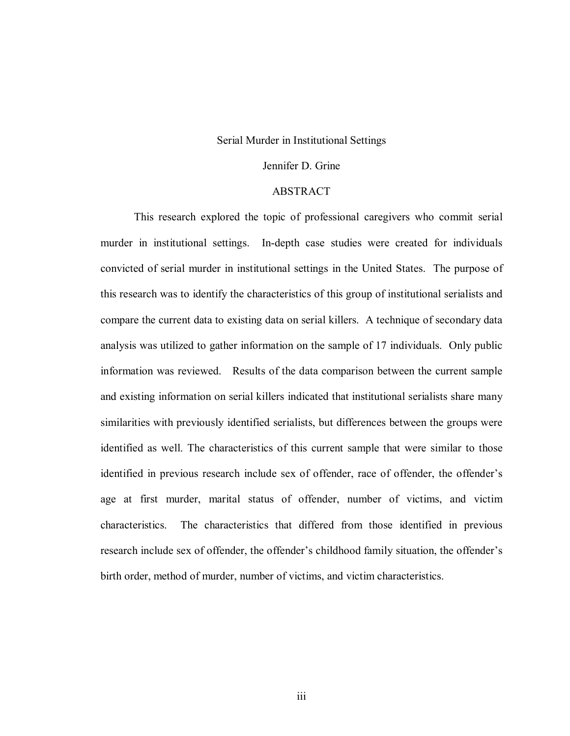#### Serial Murder in Institutional Settings

# Jennifer D. Grine

# ABSTRACT

This research explored the topic of professional caregivers who commit serial murder in institutional settings. In-depth case studies were created for individuals convicted of serial murder in institutional settings in the United States. The purpose of this research was to identify the characteristics of this group of institutional serialists and compare the current data to existing data on serial killers. A technique of secondary data analysis was utilized to gather information on the sample of 17 individuals. Only public information was reviewed. Results of the data comparison between the current sample and existing information on serial killers indicated that institutional serialists share many similarities with previously identified serialists, but differences between the groups were identified as well. The characteristics of this current sample that were similar to those identified in previous research include sex of offender, race of offender, the offender's age at first murder, marital status of offender, number of victims, and victim characteristics. The characteristics that differed from those identified in previous research include sex of offender, the offender's childhood family situation, the offender's birth order, method of murder, number of victims, and victim characteristics.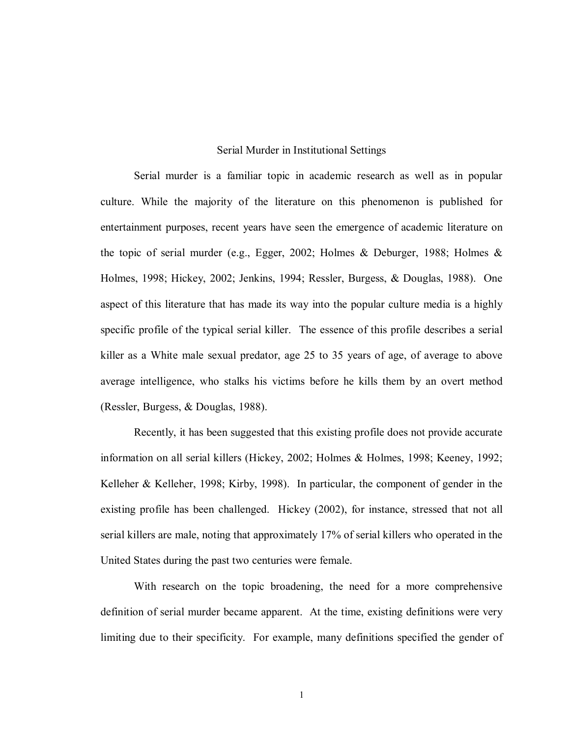#### Serial Murder in Institutional Settings

Serial murder is a familiar topic in academic research as well as in popular culture. While the majority of the literature on this phenomenon is published for entertainment purposes, recent years have seen the emergence of academic literature on the topic of serial murder (e.g., Egger, 2002; Holmes & Deburger, 1988; Holmes & Holmes, 1998; Hickey, 2002; Jenkins, 1994; Ressler, Burgess, & Douglas, 1988). One aspect of this literature that has made its way into the popular culture media is a highly specific profile of the typical serial killer. The essence of this profile describes a serial killer as a White male sexual predator, age 25 to 35 years of age, of average to above average intelligence, who stalks his victims before he kills them by an overt method (Ressler, Burgess, & Douglas, 1988).

Recently, it has been suggested that this existing profile does not provide accurate information on all serial killers (Hickey, 2002; Holmes & Holmes, 1998; Keeney, 1992; Kelleher & Kelleher, 1998; Kirby, 1998). In particular, the component of gender in the existing profile has been challenged. Hickey (2002), for instance, stressed that not all serial killers are male, noting that approximately 17% of serial killers who operated in the United States during the past two centuries were female.

With research on the topic broadening, the need for a more comprehensive definition of serial murder became apparent. At the time, existing definitions were very limiting due to their specificity. For example, many definitions specified the gender of

1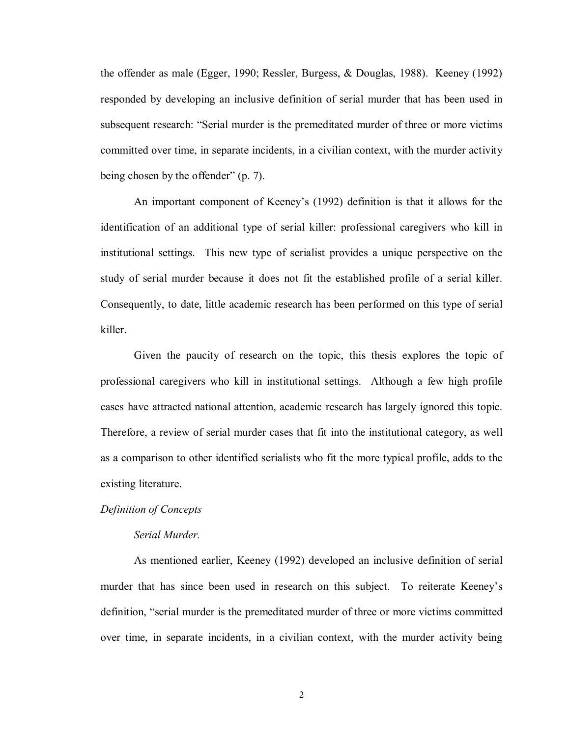the offender as male (Egger, 1990; Ressler, Burgess, & Douglas, 1988). Keeney (1992) responded by developing an inclusive definition of serial murder that has been used in subsequent research: "Serial murder is the premeditated murder of three or more victims committed over time, in separate incidents, in a civilian context, with the murder activity being chosen by the offender" (p. 7).

An important component of Keeney's (1992) definition is that it allows for the identification of an additional type of serial killer: professional caregivers who kill in institutional settings. This new type of serialist provides a unique perspective on the study of serial murder because it does not fit the established profile of a serial killer. Consequently, to date, little academic research has been performed on this type of serial killer.

 Given the paucity of research on the topic, this thesis explores the topic of professional caregivers who kill in institutional settings. Although a few high profile cases have attracted national attention, academic research has largely ignored this topic. Therefore, a review of serial murder cases that fit into the institutional category, as well as a comparison to other identified serialists who fit the more typical profile, adds to the existing literature.

# *Definition of Concepts*

#### *Serial Murder.*

As mentioned earlier, Keeney (1992) developed an inclusive definition of serial murder that has since been used in research on this subject. To reiterate Keeney's definition, "serial murder is the premeditated murder of three or more victims committed over time, in separate incidents, in a civilian context, with the murder activity being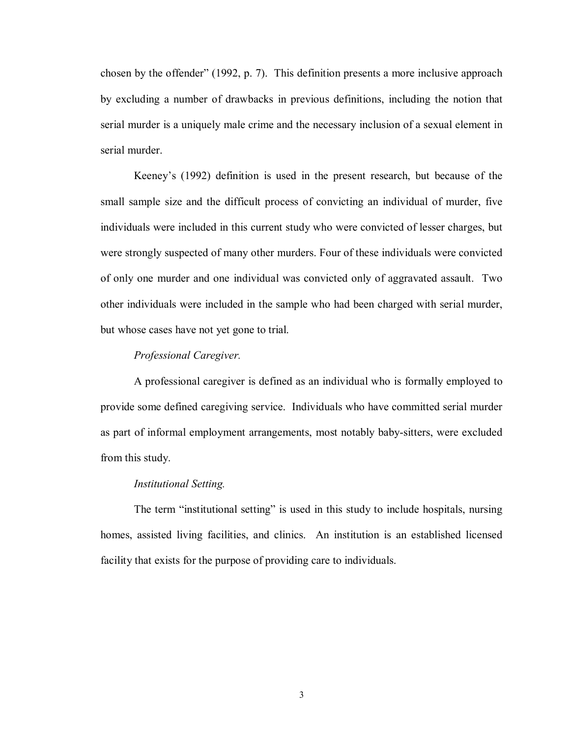chosen by the offender" (1992, p. 7). This definition presents a more inclusive approach by excluding a number of drawbacks in previous definitions, including the notion that serial murder is a uniquely male crime and the necessary inclusion of a sexual element in serial murder.

Keeney's (1992) definition is used in the present research, but because of the small sample size and the difficult process of convicting an individual of murder, five individuals were included in this current study who were convicted of lesser charges, but were strongly suspected of many other murders. Four of these individuals were convicted of only one murder and one individual was convicted only of aggravated assault. Two other individuals were included in the sample who had been charged with serial murder, but whose cases have not yet gone to trial.

#### *Professional Caregiver.*

A professional caregiver is defined as an individual who is formally employed to provide some defined caregiving service. Individuals who have committed serial murder as part of informal employment arrangements, most notably baby-sitters, were excluded from this study.

#### *Institutional Setting.*

 The term "institutional setting" is used in this study to include hospitals, nursing homes, assisted living facilities, and clinics. An institution is an established licensed facility that exists for the purpose of providing care to individuals.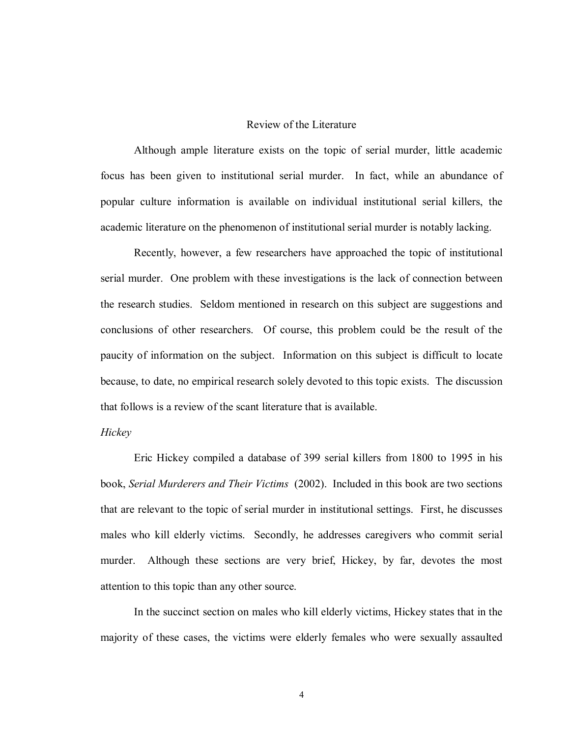# Review of the Literature

Although ample literature exists on the topic of serial murder, little academic focus has been given to institutional serial murder. In fact, while an abundance of popular culture information is available on individual institutional serial killers, the academic literature on the phenomenon of institutional serial murder is notably lacking.

Recently, however, a few researchers have approached the topic of institutional serial murder. One problem with these investigations is the lack of connection between the research studies. Seldom mentioned in research on this subject are suggestions and conclusions of other researchers. Of course, this problem could be the result of the paucity of information on the subject. Information on this subject is difficult to locate because, to date, no empirical research solely devoted to this topic exists. The discussion that follows is a review of the scant literature that is available.

#### *Hickey*

Eric Hickey compiled a database of 399 serial killers from 1800 to 1995 in his book, *Serial Murderers and Their Victims* (2002). Included in this book are two sections that are relevant to the topic of serial murder in institutional settings. First, he discusses males who kill elderly victims. Secondly, he addresses caregivers who commit serial murder. Although these sections are very brief, Hickey, by far, devotes the most attention to this topic than any other source.

In the succinct section on males who kill elderly victims, Hickey states that in the majority of these cases, the victims were elderly females who were sexually assaulted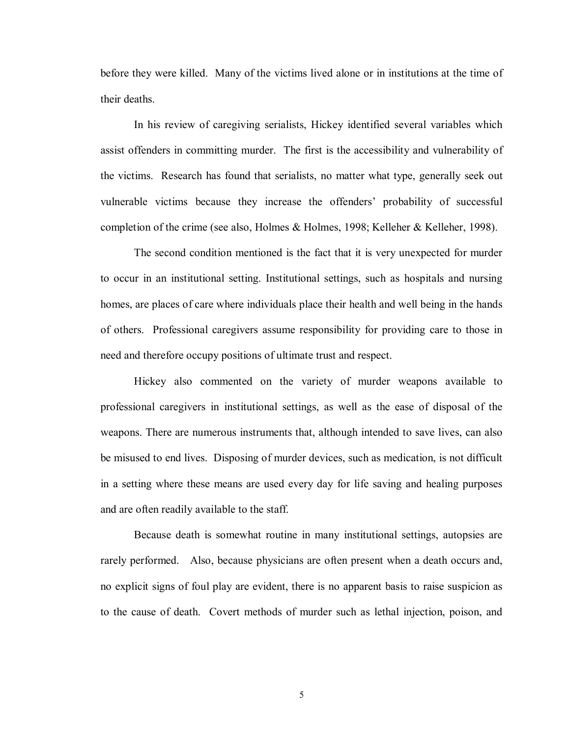before they were killed. Many of the victims lived alone or in institutions at the time of their deaths.

In his review of caregiving serialists, Hickey identified several variables which assist offenders in committing murder. The first is the accessibility and vulnerability of the victims. Research has found that serialists, no matter what type, generally seek out vulnerable victims because they increase the offenders' probability of successful completion of the crime (see also, Holmes & Holmes, 1998; Kelleher & Kelleher, 1998).

The second condition mentioned is the fact that it is very unexpected for murder to occur in an institutional setting. Institutional settings, such as hospitals and nursing homes, are places of care where individuals place their health and well being in the hands of others. Professional caregivers assume responsibility for providing care to those in need and therefore occupy positions of ultimate trust and respect.

 Hickey also commented on the variety of murder weapons available to professional caregivers in institutional settings, as well as the ease of disposal of the weapons. There are numerous instruments that, although intended to save lives, can also be misused to end lives. Disposing of murder devices, such as medication, is not difficult in a setting where these means are used every day for life saving and healing purposes and are often readily available to the staff.

 Because death is somewhat routine in many institutional settings, autopsies are rarely performed. Also, because physicians are often present when a death occurs and, no explicit signs of foul play are evident, there is no apparent basis to raise suspicion as to the cause of death. Covert methods of murder such as lethal injection, poison, and

5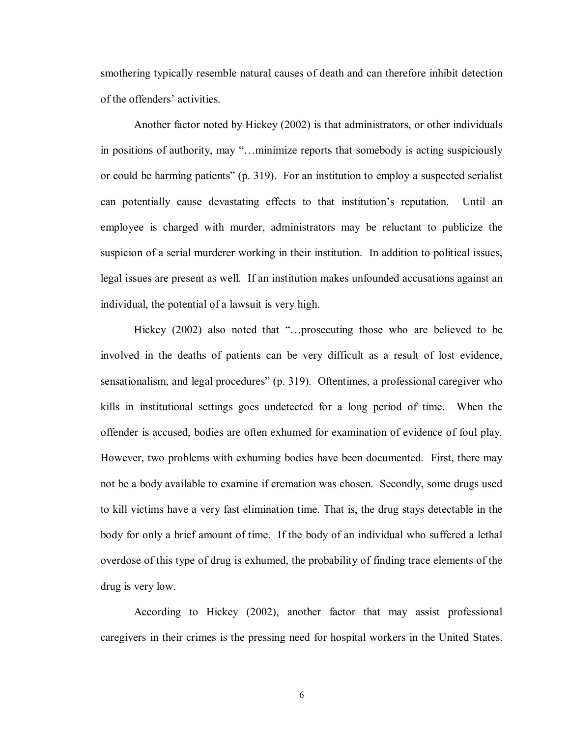smothering typically resemble natural causes of death and can therefore inhibit detection of the offenders' activities.

 Another factor noted by Hickey (2002) is that administrators, or other individuals in positions of authority, may "…minimize reports that somebody is acting suspiciously or could be harming patients" (p. 319). For an institution to employ a suspected serialist can potentially cause devastating effects to that institution's reputation. Until an employee is charged with murder, administrators may be reluctant to publicize the suspicion of a serial murderer working in their institution. In addition to political issues, legal issues are present as well. If an institution makes unfounded accusations against an individual, the potential of a lawsuit is very high.

 Hickey (2002) also noted that "…prosecuting those who are believed to be involved in the deaths of patients can be very difficult as a result of lost evidence, sensationalism, and legal procedures" (p. 319). Oftentimes, a professional caregiver who kills in institutional settings goes undetected for a long period of time. When the offender is accused, bodies are often exhumed for examination of evidence of foul play. However, two problems with exhuming bodies have been documented. First, there may not be a body available to examine if cremation was chosen. Secondly, some drugs used to kill victims have a very fast elimination time. That is, the drug stays detectable in the body for only a brief amount of time. If the body of an individual who suffered a lethal overdose of this type of drug is exhumed, the probability of finding trace elements of the drug is very low.

 According to Hickey (2002), another factor that may assist professional caregivers in their crimes is the pressing need for hospital workers in the United States.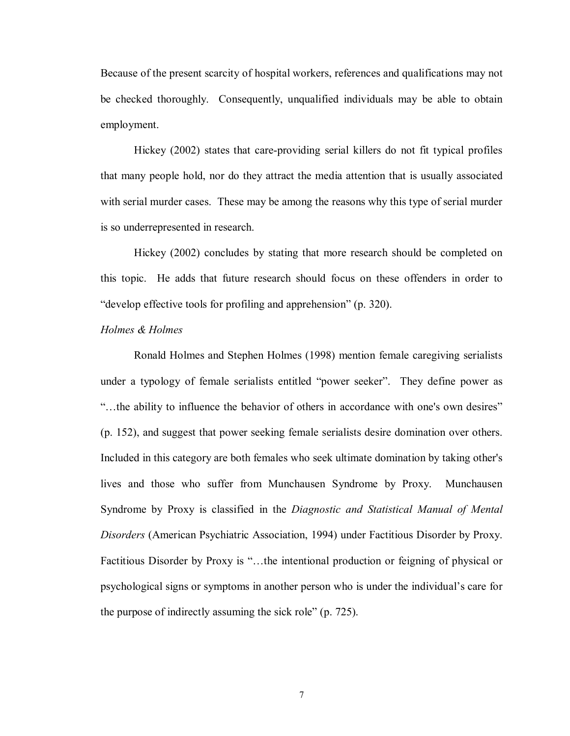Because of the present scarcity of hospital workers, references and qualifications may not be checked thoroughly. Consequently, unqualified individuals may be able to obtain employment.

 Hickey (2002) states that care-providing serial killers do not fit typical profiles that many people hold, nor do they attract the media attention that is usually associated with serial murder cases. These may be among the reasons why this type of serial murder is so underrepresented in research.

 Hickey (2002) concludes by stating that more research should be completed on this topic. He adds that future research should focus on these offenders in order to "develop effective tools for profiling and apprehension" (p. 320).

#### *Holmes & Holmes*

Ronald Holmes and Stephen Holmes (1998) mention female caregiving serialists under a typology of female serialists entitled "power seeker". They define power as "…the ability to influence the behavior of others in accordance with one's own desires" (p. 152), and suggest that power seeking female serialists desire domination over others. Included in this category are both females who seek ultimate domination by taking other's lives and those who suffer from Munchausen Syndrome by Proxy. Munchausen Syndrome by Proxy is classified in the *Diagnostic and Statistical Manual of Mental Disorders* (American Psychiatric Association, 1994) under Factitious Disorder by Proxy. Factitious Disorder by Proxy is "…the intentional production or feigning of physical or psychological signs or symptoms in another person who is under the individual's care for the purpose of indirectly assuming the sick role" (p. 725).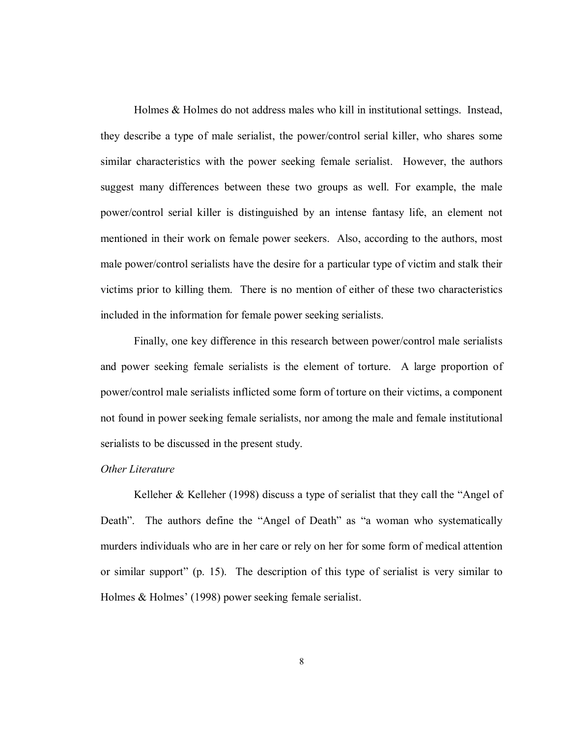Holmes & Holmes do not address males who kill in institutional settings. Instead, they describe a type of male serialist, the power/control serial killer, who shares some similar characteristics with the power seeking female serialist. However, the authors suggest many differences between these two groups as well. For example, the male power/control serial killer is distinguished by an intense fantasy life, an element not mentioned in their work on female power seekers. Also, according to the authors, most male power/control serialists have the desire for a particular type of victim and stalk their victims prior to killing them. There is no mention of either of these two characteristics included in the information for female power seeking serialists.

Finally, one key difference in this research between power/control male serialists and power seeking female serialists is the element of torture. A large proportion of power/control male serialists inflicted some form of torture on their victims, a component not found in power seeking female serialists, nor among the male and female institutional serialists to be discussed in the present study.

#### *Other Literature*

Kelleher & Kelleher (1998) discuss a type of serialist that they call the "Angel of Death". The authors define the "Angel of Death" as "a woman who systematically murders individuals who are in her care or rely on her for some form of medical attention or similar support" (p. 15). The description of this type of serialist is very similar to Holmes & Holmes' (1998) power seeking female serialist.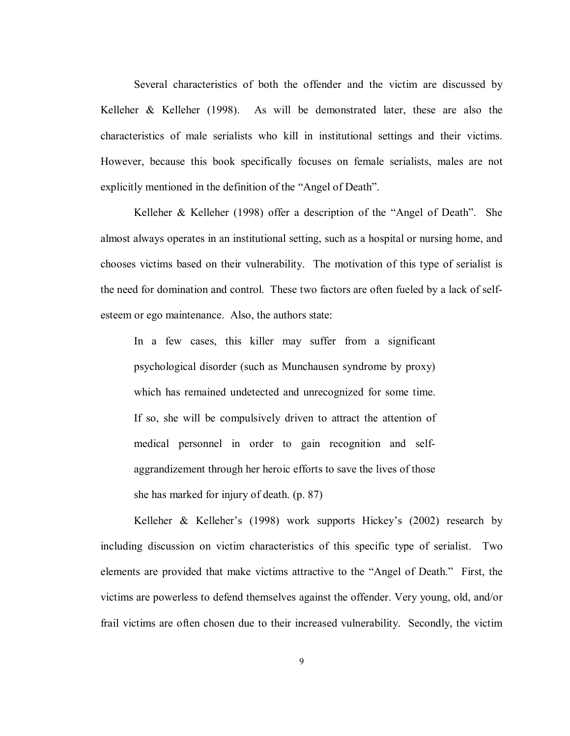Several characteristics of both the offender and the victim are discussed by Kelleher & Kelleher (1998). As will be demonstrated later, these are also the characteristics of male serialists who kill in institutional settings and their victims. However, because this book specifically focuses on female serialists, males are not explicitly mentioned in the definition of the "Angel of Death".

 Kelleher & Kelleher (1998) offer a description of the "Angel of Death". She almost always operates in an institutional setting, such as a hospital or nursing home, and chooses victims based on their vulnerability. The motivation of this type of serialist is the need for domination and control. These two factors are often fueled by a lack of selfesteem or ego maintenance. Also, the authors state:

In a few cases, this killer may suffer from a significant psychological disorder (such as Munchausen syndrome by proxy) which has remained undetected and unrecognized for some time. If so, she will be compulsively driven to attract the attention of medical personnel in order to gain recognition and selfaggrandizement through her heroic efforts to save the lives of those she has marked for injury of death. (p. 87)

 Kelleher & Kelleher's (1998) work supports Hickey's (2002) research by including discussion on victim characteristics of this specific type of serialist. Two elements are provided that make victims attractive to the "Angel of Death." First, the victims are powerless to defend themselves against the offender. Very young, old, and/or frail victims are often chosen due to their increased vulnerability. Secondly, the victim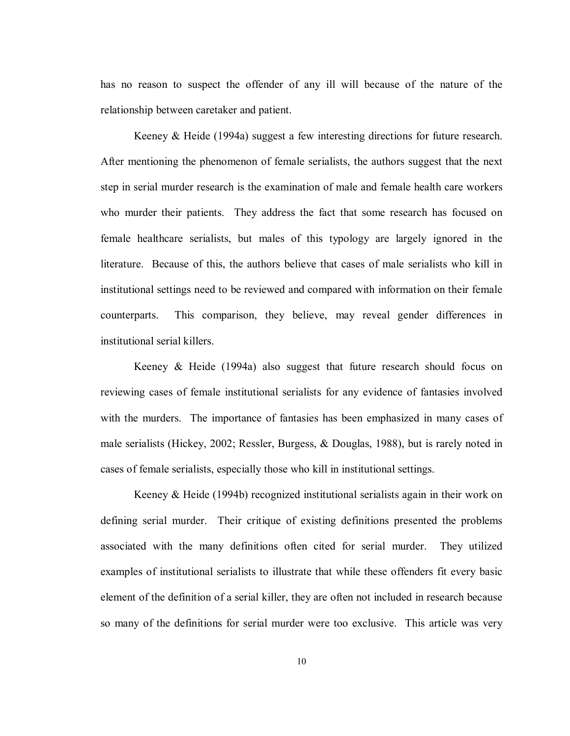has no reason to suspect the offender of any ill will because of the nature of the relationship between caretaker and patient.

 Keeney & Heide (1994a) suggest a few interesting directions for future research. After mentioning the phenomenon of female serialists, the authors suggest that the next step in serial murder research is the examination of male and female health care workers who murder their patients. They address the fact that some research has focused on female healthcare serialists, but males of this typology are largely ignored in the literature. Because of this, the authors believe that cases of male serialists who kill in institutional settings need to be reviewed and compared with information on their female counterparts. This comparison, they believe, may reveal gender differences in institutional serial killers.

 Keeney & Heide (1994a) also suggest that future research should focus on reviewing cases of female institutional serialists for any evidence of fantasies involved with the murders. The importance of fantasies has been emphasized in many cases of male serialists (Hickey, 2002; Ressler, Burgess, & Douglas, 1988), but is rarely noted in cases of female serialists, especially those who kill in institutional settings.

Keeney & Heide (1994b) recognized institutional serialists again in their work on defining serial murder. Their critique of existing definitions presented the problems associated with the many definitions often cited for serial murder. They utilized examples of institutional serialists to illustrate that while these offenders fit every basic element of the definition of a serial killer, they are often not included in research because so many of the definitions for serial murder were too exclusive. This article was very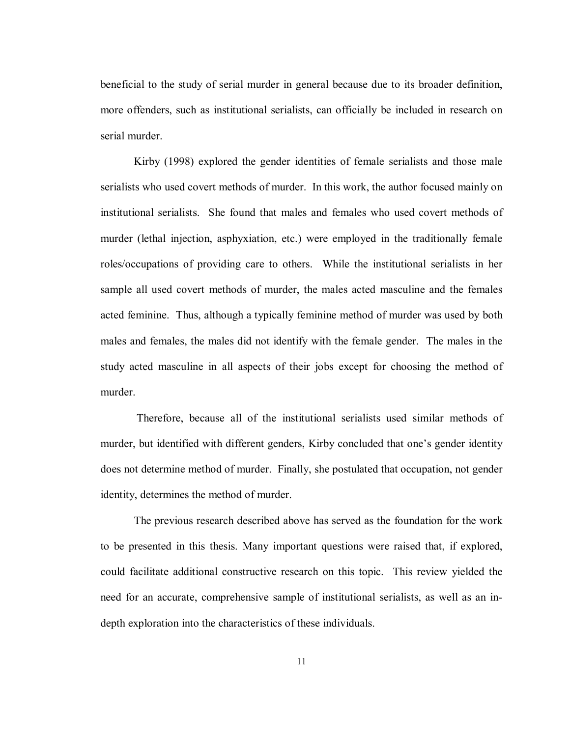beneficial to the study of serial murder in general because due to its broader definition, more offenders, such as institutional serialists, can officially be included in research on serial murder.

 Kirby (1998) explored the gender identities of female serialists and those male serialists who used covert methods of murder. In this work, the author focused mainly on institutional serialists. She found that males and females who used covert methods of murder (lethal injection, asphyxiation, etc.) were employed in the traditionally female roles/occupations of providing care to others. While the institutional serialists in her sample all used covert methods of murder, the males acted masculine and the females acted feminine. Thus, although a typically feminine method of murder was used by both males and females, the males did not identify with the female gender. The males in the study acted masculine in all aspects of their jobs except for choosing the method of murder.

 Therefore, because all of the institutional serialists used similar methods of murder, but identified with different genders, Kirby concluded that one's gender identity does not determine method of murder. Finally, she postulated that occupation, not gender identity, determines the method of murder.

The previous research described above has served as the foundation for the work to be presented in this thesis. Many important questions were raised that, if explored, could facilitate additional constructive research on this topic. This review yielded the need for an accurate, comprehensive sample of institutional serialists, as well as an indepth exploration into the characteristics of these individuals.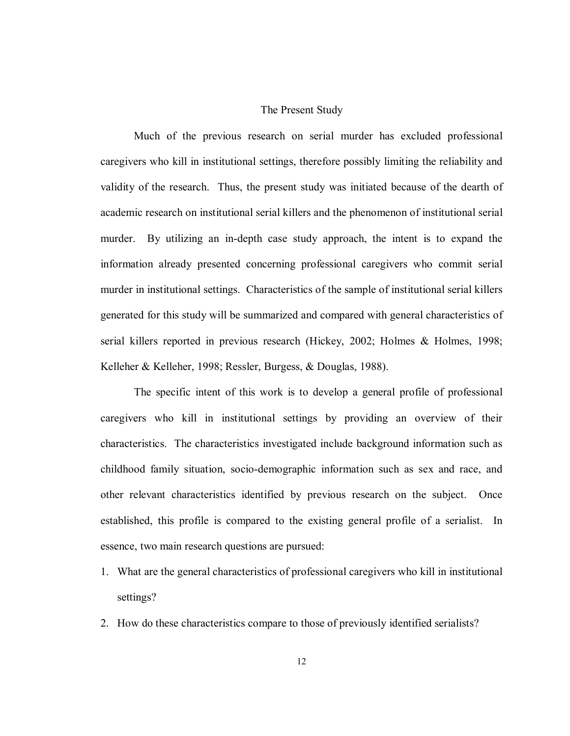#### The Present Study

Much of the previous research on serial murder has excluded professional caregivers who kill in institutional settings, therefore possibly limiting the reliability and validity of the research. Thus, the present study was initiated because of the dearth of academic research on institutional serial killers and the phenomenon of institutional serial murder. By utilizing an in-depth case study approach, the intent is to expand the information already presented concerning professional caregivers who commit serial murder in institutional settings. Characteristics of the sample of institutional serial killers generated for this study will be summarized and compared with general characteristics of serial killers reported in previous research (Hickey, 2002; Holmes & Holmes, 1998; Kelleher & Kelleher, 1998; Ressler, Burgess, & Douglas, 1988).

The specific intent of this work is to develop a general profile of professional caregivers who kill in institutional settings by providing an overview of their characteristics. The characteristics investigated include background information such as childhood family situation, socio-demographic information such as sex and race, and other relevant characteristics identified by previous research on the subject. Once established, this profile is compared to the existing general profile of a serialist. In essence, two main research questions are pursued:

- 1. What are the general characteristics of professional caregivers who kill in institutional settings?
- 2. How do these characteristics compare to those of previously identified serialists?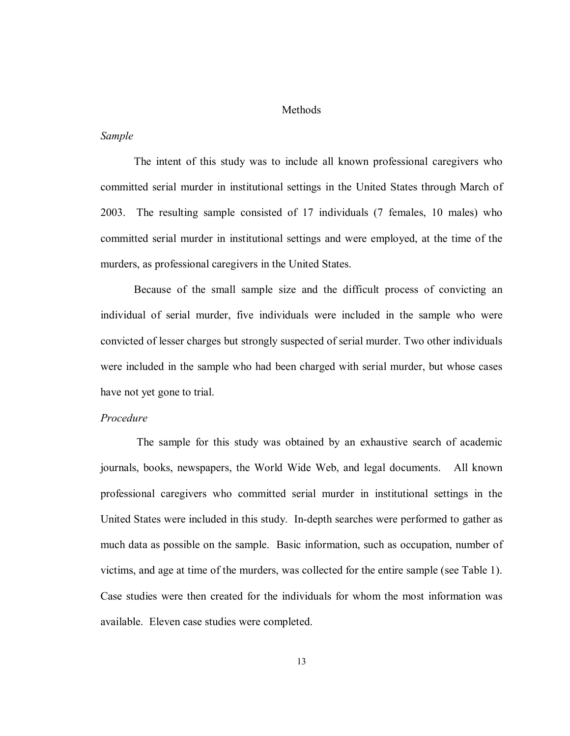#### Methods

#### *Sample*

The intent of this study was to include all known professional caregivers who committed serial murder in institutional settings in the United States through March of 2003. The resulting sample consisted of 17 individuals (7 females, 10 males) who committed serial murder in institutional settings and were employed, at the time of the murders, as professional caregivers in the United States.

Because of the small sample size and the difficult process of convicting an individual of serial murder, five individuals were included in the sample who were convicted of lesser charges but strongly suspected of serial murder. Two other individuals were included in the sample who had been charged with serial murder, but whose cases have not yet gone to trial.

#### *Procedure*

 The sample for this study was obtained by an exhaustive search of academic journals, books, newspapers, the World Wide Web, and legal documents. All known professional caregivers who committed serial murder in institutional settings in the United States were included in this study. In-depth searches were performed to gather as much data as possible on the sample. Basic information, such as occupation, number of victims, and age at time of the murders, was collected for the entire sample (see Table 1). Case studies were then created for the individuals for whom the most information was available. Eleven case studies were completed.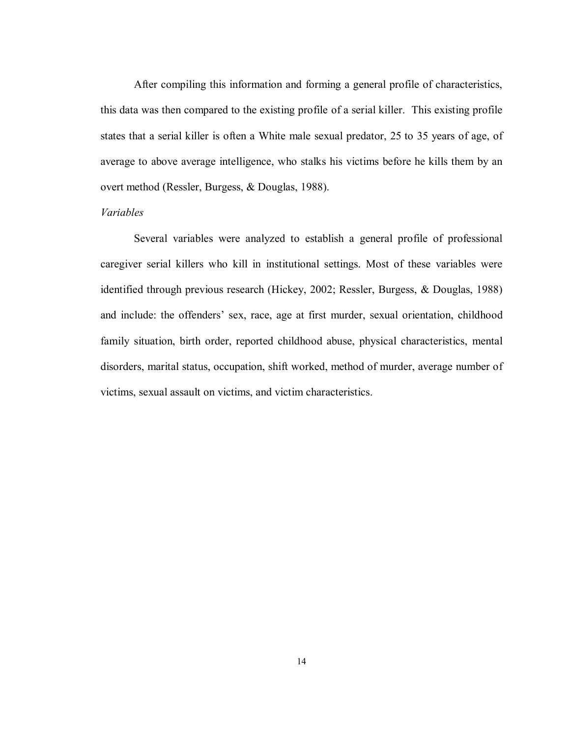After compiling this information and forming a general profile of characteristics, this data was then compared to the existing profile of a serial killer. This existing profile states that a serial killer is often a White male sexual predator, 25 to 35 years of age, of average to above average intelligence, who stalks his victims before he kills them by an overt method (Ressler, Burgess, & Douglas, 1988).

#### *Variables*

Several variables were analyzed to establish a general profile of professional caregiver serial killers who kill in institutional settings. Most of these variables were identified through previous research (Hickey, 2002; Ressler, Burgess, & Douglas, 1988) and include: the offenders' sex, race, age at first murder, sexual orientation, childhood family situation, birth order, reported childhood abuse, physical characteristics, mental disorders, marital status, occupation, shift worked, method of murder, average number of victims, sexual assault on victims, and victim characteristics.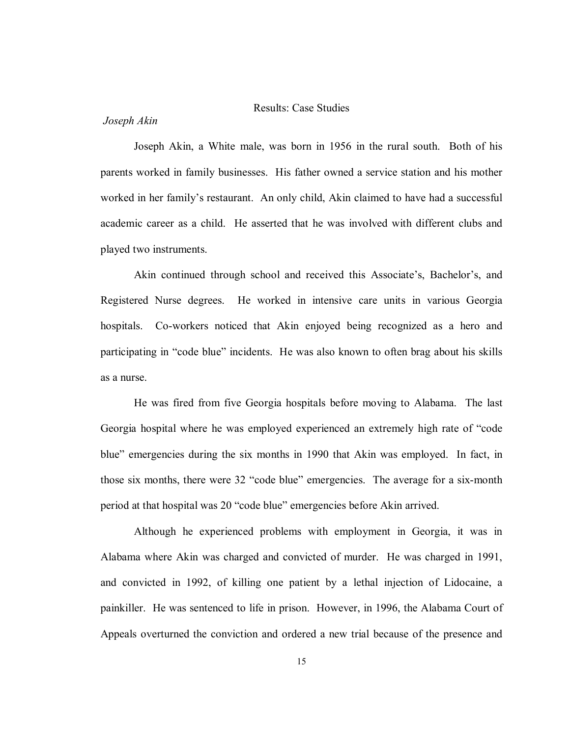# Results: Case Studies

#### *Joseph Akin*

Joseph Akin, a White male, was born in 1956 in the rural south. Both of his parents worked in family businesses. His father owned a service station and his mother worked in her family's restaurant. An only child, Akin claimed to have had a successful academic career as a child. He asserted that he was involved with different clubs and played two instruments.

Akin continued through school and received this Associate's, Bachelor's, and Registered Nurse degrees. He worked in intensive care units in various Georgia hospitals. Co-workers noticed that Akin enjoyed being recognized as a hero and participating in "code blue" incidents. He was also known to often brag about his skills as a nurse.

He was fired from five Georgia hospitals before moving to Alabama. The last Georgia hospital where he was employed experienced an extremely high rate of "code blue" emergencies during the six months in 1990 that Akin was employed. In fact, in those six months, there were 32 "code blue" emergencies. The average for a six-month period at that hospital was 20 "code blue" emergencies before Akin arrived.

Although he experienced problems with employment in Georgia, it was in Alabama where Akin was charged and convicted of murder. He was charged in 1991, and convicted in 1992, of killing one patient by a lethal injection of Lidocaine, a painkiller. He was sentenced to life in prison. However, in 1996, the Alabama Court of Appeals overturned the conviction and ordered a new trial because of the presence and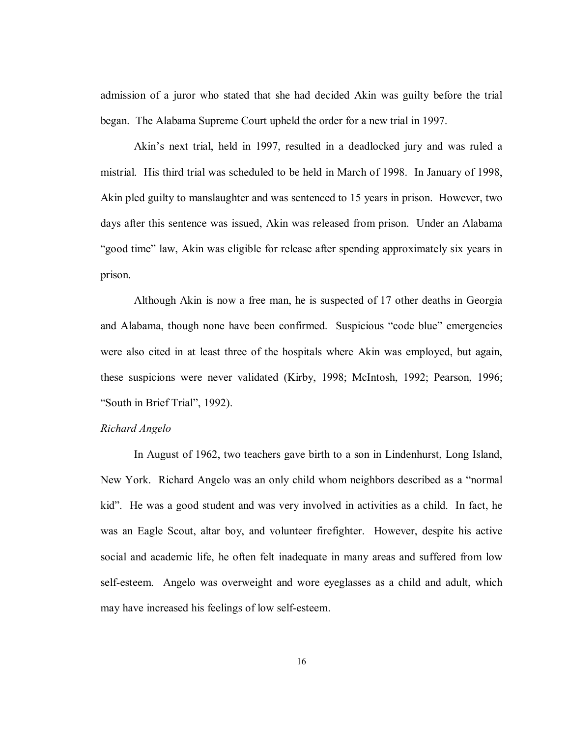admission of a juror who stated that she had decided Akin was guilty before the trial began. The Alabama Supreme Court upheld the order for a new trial in 1997.

Akin's next trial, held in 1997, resulted in a deadlocked jury and was ruled a mistrial. His third trial was scheduled to be held in March of 1998. In January of 1998, Akin pled guilty to manslaughter and was sentenced to 15 years in prison. However, two days after this sentence was issued, Akin was released from prison. Under an Alabama "good time" law, Akin was eligible for release after spending approximately six years in prison.

Although Akin is now a free man, he is suspected of 17 other deaths in Georgia and Alabama, though none have been confirmed. Suspicious "code blue" emergencies were also cited in at least three of the hospitals where Akin was employed, but again, these suspicions were never validated (Kirby, 1998; McIntosh, 1992; Pearson, 1996; "South in Brief Trial", 1992).

# *Richard Angelo*

In August of 1962, two teachers gave birth to a son in Lindenhurst, Long Island, New York. Richard Angelo was an only child whom neighbors described as a "normal kid". He was a good student and was very involved in activities as a child. In fact, he was an Eagle Scout, altar boy, and volunteer firefighter. However, despite his active social and academic life, he often felt inadequate in many areas and suffered from low self-esteem. Angelo was overweight and wore eyeglasses as a child and adult, which may have increased his feelings of low self-esteem.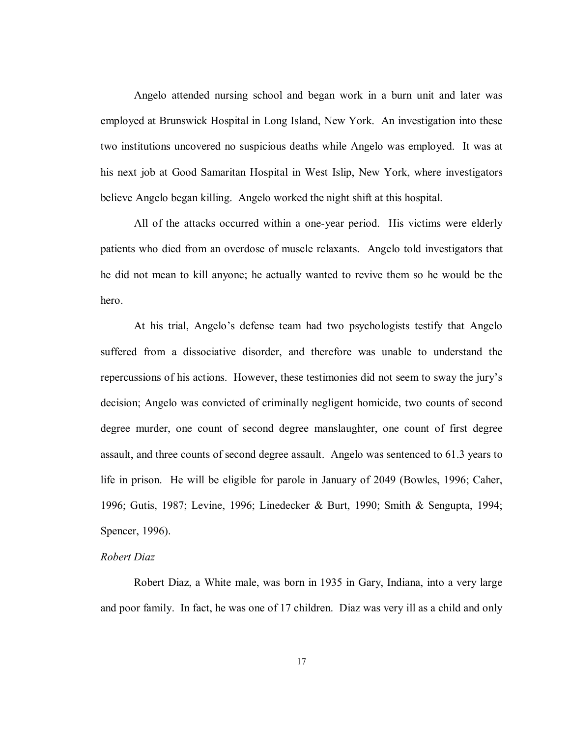Angelo attended nursing school and began work in a burn unit and later was employed at Brunswick Hospital in Long Island, New York. An investigation into these two institutions uncovered no suspicious deaths while Angelo was employed. It was at his next job at Good Samaritan Hospital in West Islip, New York, where investigators believe Angelo began killing. Angelo worked the night shift at this hospital.

All of the attacks occurred within a one-year period. His victims were elderly patients who died from an overdose of muscle relaxants. Angelo told investigators that he did not mean to kill anyone; he actually wanted to revive them so he would be the hero.

 At his trial, Angelo's defense team had two psychologists testify that Angelo suffered from a dissociative disorder, and therefore was unable to understand the repercussions of his actions. However, these testimonies did not seem to sway the jury's decision; Angelo was convicted of criminally negligent homicide, two counts of second degree murder, one count of second degree manslaughter, one count of first degree assault, and three counts of second degree assault. Angelo was sentenced to 61.3 years to life in prison. He will be eligible for parole in January of 2049 (Bowles, 1996; Caher, 1996; Gutis, 1987; Levine, 1996; Linedecker & Burt, 1990; Smith & Sengupta, 1994; Spencer, 1996).

#### *Robert Diaz*

Robert Diaz, a White male, was born in 1935 in Gary, Indiana, into a very large and poor family. In fact, he was one of 17 children. Diaz was very ill as a child and only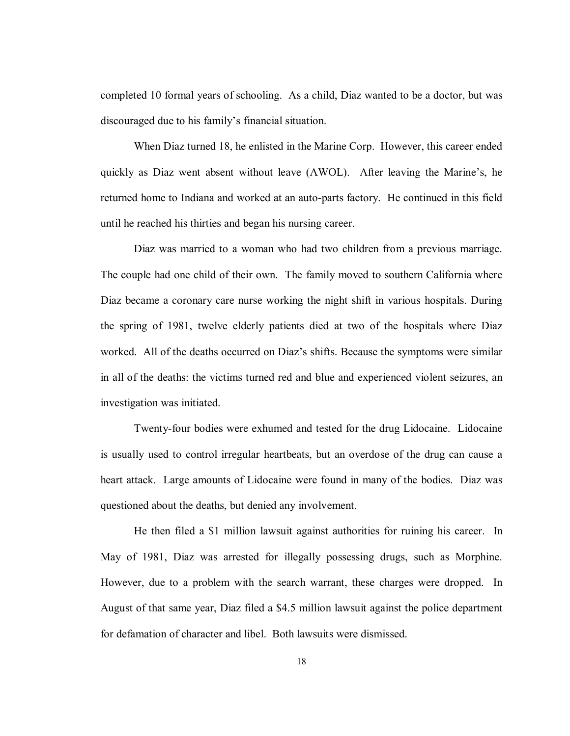completed 10 formal years of schooling. As a child, Diaz wanted to be a doctor, but was discouraged due to his family's financial situation.

When Diaz turned 18, he enlisted in the Marine Corp. However, this career ended quickly as Diaz went absent without leave (AWOL). After leaving the Marine's, he returned home to Indiana and worked at an auto-parts factory. He continued in this field until he reached his thirties and began his nursing career.

Diaz was married to a woman who had two children from a previous marriage. The couple had one child of their own. The family moved to southern California where Diaz became a coronary care nurse working the night shift in various hospitals. During the spring of 1981, twelve elderly patients died at two of the hospitals where Diaz worked. All of the deaths occurred on Diaz's shifts. Because the symptoms were similar in all of the deaths: the victims turned red and blue and experienced violent seizures, an investigation was initiated.

Twenty-four bodies were exhumed and tested for the drug Lidocaine. Lidocaine is usually used to control irregular heartbeats, but an overdose of the drug can cause a heart attack. Large amounts of Lidocaine were found in many of the bodies. Diaz was questioned about the deaths, but denied any involvement.

He then filed a \$1 million lawsuit against authorities for ruining his career. In May of 1981, Diaz was arrested for illegally possessing drugs, such as Morphine. However, due to a problem with the search warrant, these charges were dropped. In August of that same year, Diaz filed a \$4.5 million lawsuit against the police department for defamation of character and libel. Both lawsuits were dismissed.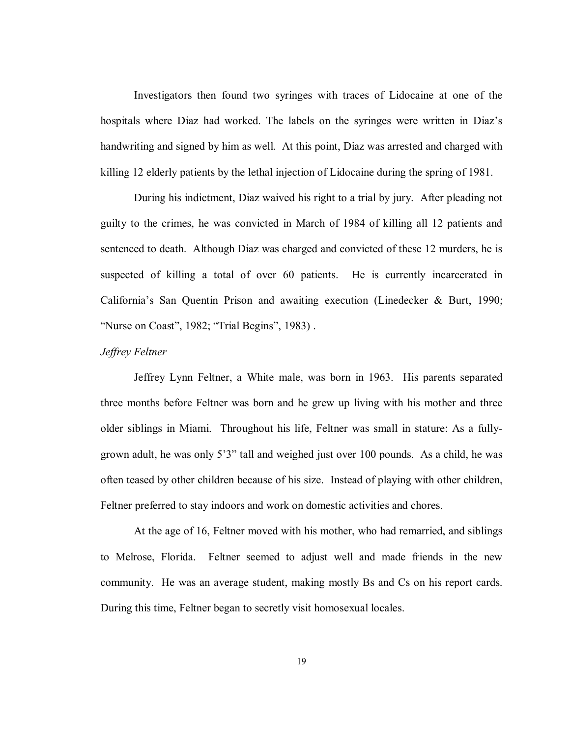Investigators then found two syringes with traces of Lidocaine at one of the hospitals where Diaz had worked. The labels on the syringes were written in Diaz's handwriting and signed by him as well. At this point, Diaz was arrested and charged with killing 12 elderly patients by the lethal injection of Lidocaine during the spring of 1981.

During his indictment, Diaz waived his right to a trial by jury. After pleading not guilty to the crimes, he was convicted in March of 1984 of killing all 12 patients and sentenced to death. Although Diaz was charged and convicted of these 12 murders, he is suspected of killing a total of over 60 patients. He is currently incarcerated in California's San Quentin Prison and awaiting execution (Linedecker & Burt, 1990; "Nurse on Coast", 1982; "Trial Begins", 1983) .

#### *Jeffrey Feltner*

 Jeffrey Lynn Feltner, a White male, was born in 1963. His parents separated three months before Feltner was born and he grew up living with his mother and three older siblings in Miami. Throughout his life, Feltner was small in stature: As a fullygrown adult, he was only 5'3" tall and weighed just over 100 pounds. As a child, he was often teased by other children because of his size. Instead of playing with other children, Feltner preferred to stay indoors and work on domestic activities and chores.

 At the age of 16, Feltner moved with his mother, who had remarried, and siblings to Melrose, Florida. Feltner seemed to adjust well and made friends in the new community. He was an average student, making mostly Bs and Cs on his report cards. During this time, Feltner began to secretly visit homosexual locales.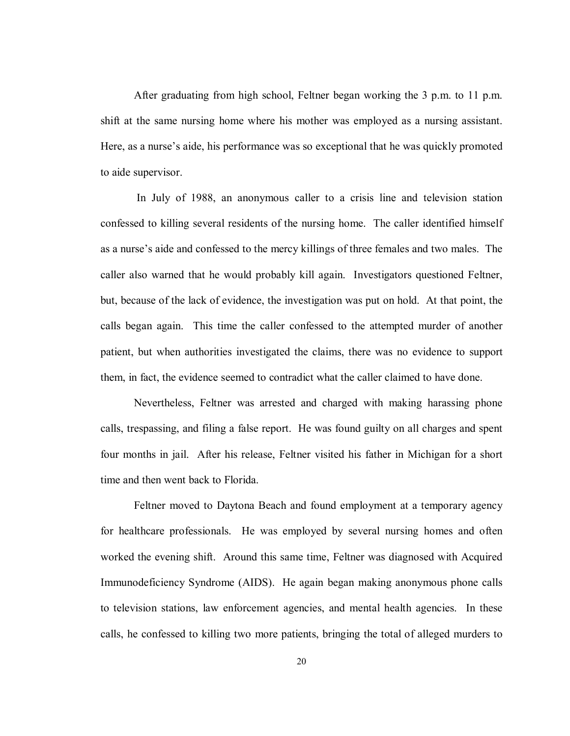After graduating from high school, Feltner began working the 3 p.m. to 11 p.m. shift at the same nursing home where his mother was employed as a nursing assistant. Here, as a nurse's aide, his performance was so exceptional that he was quickly promoted to aide supervisor.

 In July of 1988, an anonymous caller to a crisis line and television station confessed to killing several residents of the nursing home. The caller identified himself as a nurse's aide and confessed to the mercy killings of three females and two males. The caller also warned that he would probably kill again. Investigators questioned Feltner, but, because of the lack of evidence, the investigation was put on hold. At that point, the calls began again. This time the caller confessed to the attempted murder of another patient, but when authorities investigated the claims, there was no evidence to support them, in fact, the evidence seemed to contradict what the caller claimed to have done.

Nevertheless, Feltner was arrested and charged with making harassing phone calls, trespassing, and filing a false report. He was found guilty on all charges and spent four months in jail. After his release, Feltner visited his father in Michigan for a short time and then went back to Florida.

 Feltner moved to Daytona Beach and found employment at a temporary agency for healthcare professionals. He was employed by several nursing homes and often worked the evening shift. Around this same time, Feltner was diagnosed with Acquired Immunodeficiency Syndrome (AIDS). He again began making anonymous phone calls to television stations, law enforcement agencies, and mental health agencies. In these calls, he confessed to killing two more patients, bringing the total of alleged murders to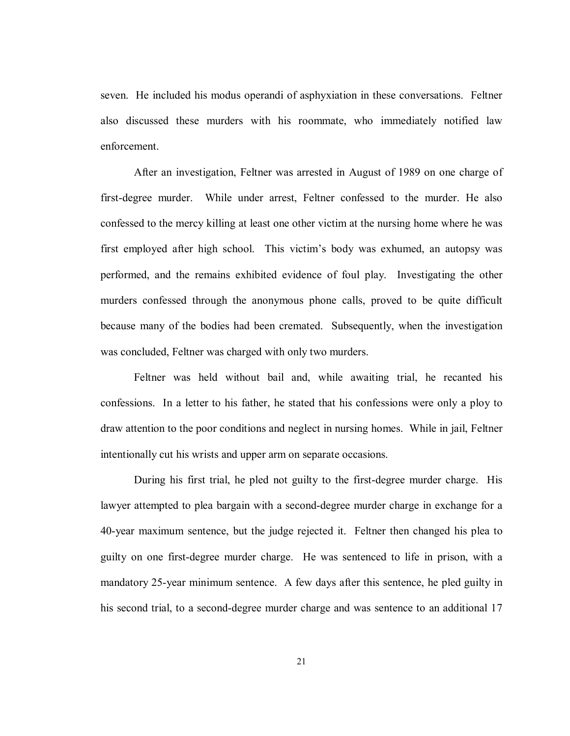seven. He included his modus operandi of asphyxiation in these conversations. Feltner also discussed these murders with his roommate, who immediately notified law enforcement.

 After an investigation, Feltner was arrested in August of 1989 on one charge of first-degree murder. While under arrest, Feltner confessed to the murder. He also confessed to the mercy killing at least one other victim at the nursing home where he was first employed after high school. This victim's body was exhumed, an autopsy was performed, and the remains exhibited evidence of foul play. Investigating the other murders confessed through the anonymous phone calls, proved to be quite difficult because many of the bodies had been cremated. Subsequently, when the investigation was concluded, Feltner was charged with only two murders.

 Feltner was held without bail and, while awaiting trial, he recanted his confessions. In a letter to his father, he stated that his confessions were only a ploy to draw attention to the poor conditions and neglect in nursing homes. While in jail, Feltner intentionally cut his wrists and upper arm on separate occasions.

During his first trial, he pled not guilty to the first-degree murder charge. His lawyer attempted to plea bargain with a second-degree murder charge in exchange for a 40-year maximum sentence, but the judge rejected it. Feltner then changed his plea to guilty on one first-degree murder charge. He was sentenced to life in prison, with a mandatory 25-year minimum sentence. A few days after this sentence, he pled guilty in his second trial, to a second-degree murder charge and was sentence to an additional 17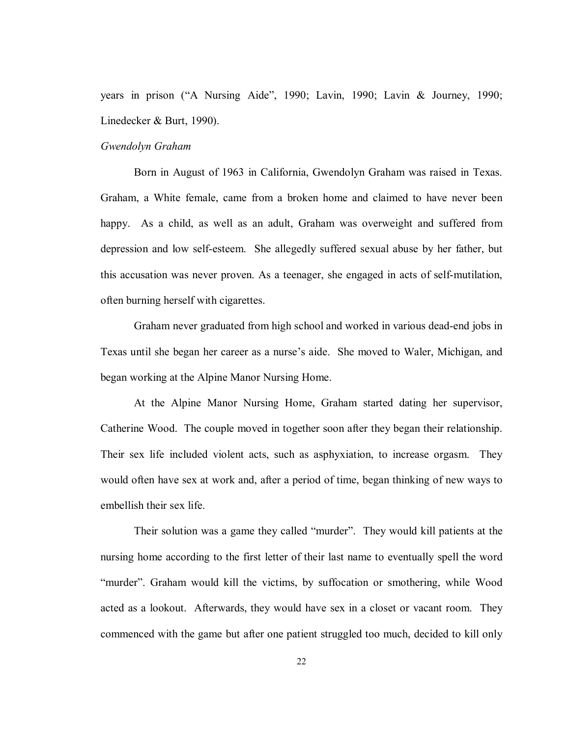years in prison ("A Nursing Aide", 1990; Lavin, 1990; Lavin & Journey, 1990; Linedecker & Burt, 1990).

# *Gwendolyn Graham*

Born in August of 1963 in California, Gwendolyn Graham was raised in Texas. Graham, a White female, came from a broken home and claimed to have never been happy. As a child, as well as an adult, Graham was overweight and suffered from depression and low self-esteem. She allegedly suffered sexual abuse by her father, but this accusation was never proven. As a teenager, she engaged in acts of self-mutilation, often burning herself with cigarettes.

 Graham never graduated from high school and worked in various dead-end jobs in Texas until she began her career as a nurse's aide. She moved to Waler, Michigan, and began working at the Alpine Manor Nursing Home.

 At the Alpine Manor Nursing Home, Graham started dating her supervisor, Catherine Wood. The couple moved in together soon after they began their relationship. Their sex life included violent acts, such as asphyxiation, to increase orgasm. They would often have sex at work and, after a period of time, began thinking of new ways to embellish their sex life.

Their solution was a game they called "murder". They would kill patients at the nursing home according to the first letter of their last name to eventually spell the word "murder". Graham would kill the victims, by suffocation or smothering, while Wood acted as a lookout. Afterwards, they would have sex in a closet or vacant room. They commenced with the game but after one patient struggled too much, decided to kill only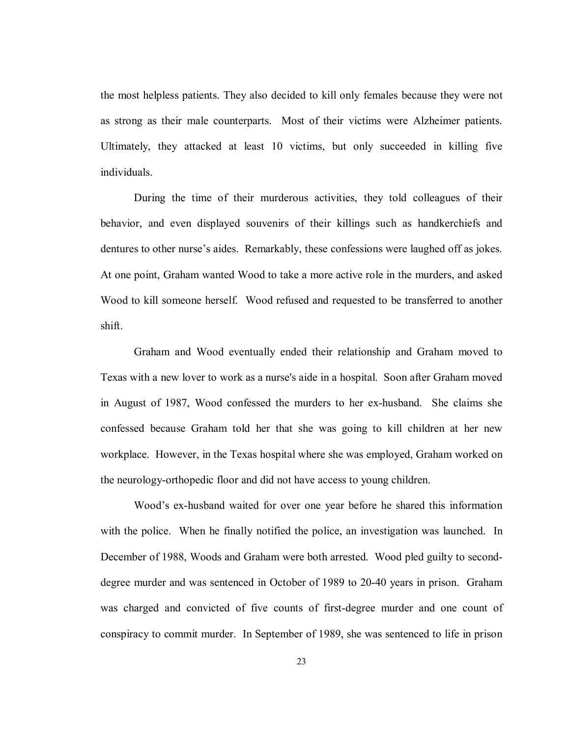the most helpless patients. They also decided to kill only females because they were not as strong as their male counterparts. Most of their victims were Alzheimer patients. Ultimately, they attacked at least 10 victims, but only succeeded in killing five individuals.

During the time of their murderous activities, they told colleagues of their behavior, and even displayed souvenirs of their killings such as handkerchiefs and dentures to other nurse's aides. Remarkably, these confessions were laughed off as jokes. At one point, Graham wanted Wood to take a more active role in the murders, and asked Wood to kill someone herself. Wood refused and requested to be transferred to another shift.

Graham and Wood eventually ended their relationship and Graham moved to Texas with a new lover to work as a nurse's aide in a hospital. Soon after Graham moved in August of 1987, Wood confessed the murders to her ex-husband. She claims she confessed because Graham told her that she was going to kill children at her new workplace. However, in the Texas hospital where she was employed, Graham worked on the neurology-orthopedic floor and did not have access to young children.

Wood's ex-husband waited for over one year before he shared this information with the police. When he finally notified the police, an investigation was launched. In December of 1988, Woods and Graham were both arrested. Wood pled guilty to seconddegree murder and was sentenced in October of 1989 to 20-40 years in prison. Graham was charged and convicted of five counts of first-degree murder and one count of conspiracy to commit murder. In September of 1989, she was sentenced to life in prison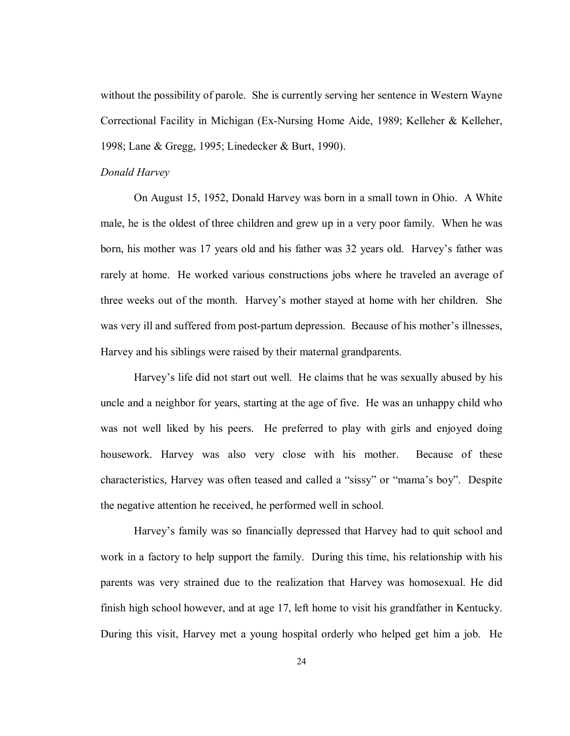without the possibility of parole. She is currently serving her sentence in Western Wayne Correctional Facility in Michigan (Ex-Nursing Home Aide, 1989; Kelleher & Kelleher, 1998; Lane & Gregg, 1995; Linedecker & Burt, 1990).

#### *Donald Harvey*

On August 15, 1952, Donald Harvey was born in a small town in Ohio. A White male, he is the oldest of three children and grew up in a very poor family. When he was born, his mother was 17 years old and his father was 32 years old. Harvey's father was rarely at home. He worked various constructions jobs where he traveled an average of three weeks out of the month. Harvey's mother stayed at home with her children. She was very ill and suffered from post-partum depression. Because of his mother's illnesses, Harvey and his siblings were raised by their maternal grandparents.

Harvey's life did not start out well. He claims that he was sexually abused by his uncle and a neighbor for years, starting at the age of five. He was an unhappy child who was not well liked by his peers. He preferred to play with girls and enjoyed doing housework. Harvey was also very close with his mother. Because of these characteristics, Harvey was often teased and called a "sissy" or "mama's boy". Despite the negative attention he received, he performed well in school.

Harvey's family was so financially depressed that Harvey had to quit school and work in a factory to help support the family. During this time, his relationship with his parents was very strained due to the realization that Harvey was homosexual. He did finish high school however, and at age 17, left home to visit his grandfather in Kentucky. During this visit, Harvey met a young hospital orderly who helped get him a job. He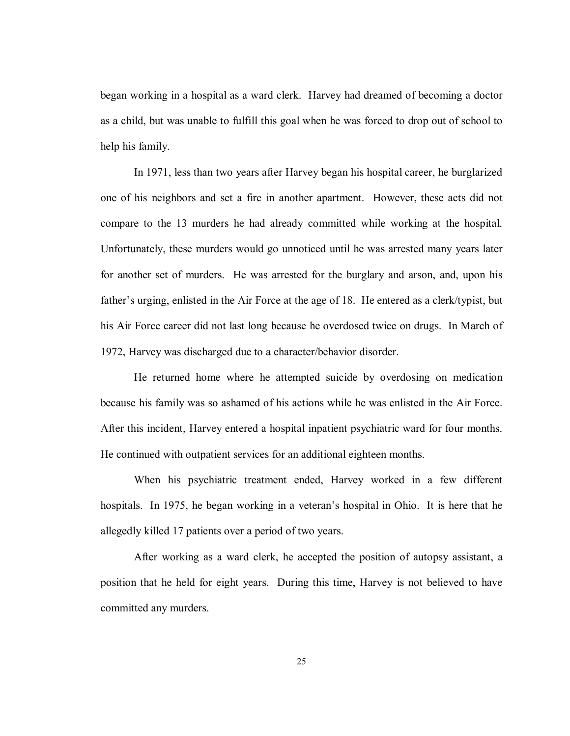began working in a hospital as a ward clerk. Harvey had dreamed of becoming a doctor as a child, but was unable to fulfill this goal when he was forced to drop out of school to help his family.

In 1971, less than two years after Harvey began his hospital career, he burglarized one of his neighbors and set a fire in another apartment. However, these acts did not compare to the 13 murders he had already committed while working at the hospital. Unfortunately, these murders would go unnoticed until he was arrested many years later for another set of murders. He was arrested for the burglary and arson, and, upon his father's urging, enlisted in the Air Force at the age of 18. He entered as a clerk/typist, but his Air Force career did not last long because he overdosed twice on drugs. In March of 1972, Harvey was discharged due to a character/behavior disorder.

He returned home where he attempted suicide by overdosing on medication because his family was so ashamed of his actions while he was enlisted in the Air Force. After this incident, Harvey entered a hospital inpatient psychiatric ward for four months. He continued with outpatient services for an additional eighteen months.

When his psychiatric treatment ended, Harvey worked in a few different hospitals. In 1975, he began working in a veteran's hospital in Ohio. It is here that he allegedly killed 17 patients over a period of two years.

After working as a ward clerk, he accepted the position of autopsy assistant, a position that he held for eight years. During this time, Harvey is not believed to have committed any murders.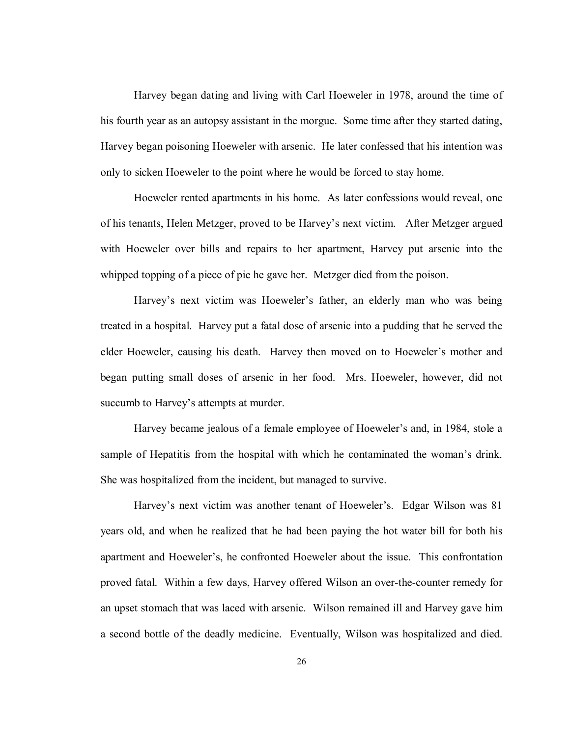Harvey began dating and living with Carl Hoeweler in 1978, around the time of his fourth year as an autopsy assistant in the morgue. Some time after they started dating, Harvey began poisoning Hoeweler with arsenic. He later confessed that his intention was only to sicken Hoeweler to the point where he would be forced to stay home.

Hoeweler rented apartments in his home. As later confessions would reveal, one of his tenants, Helen Metzger, proved to be Harvey's next victim. After Metzger argued with Hoeweler over bills and repairs to her apartment, Harvey put arsenic into the whipped topping of a piece of pie he gave her. Metzger died from the poison.

Harvey's next victim was Hoeweler's father, an elderly man who was being treated in a hospital. Harvey put a fatal dose of arsenic into a pudding that he served the elder Hoeweler, causing his death. Harvey then moved on to Hoeweler's mother and began putting small doses of arsenic in her food. Mrs. Hoeweler, however, did not succumb to Harvey's attempts at murder.

Harvey became jealous of a female employee of Hoeweler's and, in 1984, stole a sample of Hepatitis from the hospital with which he contaminated the woman's drink. She was hospitalized from the incident, but managed to survive.

Harvey's next victim was another tenant of Hoeweler's. Edgar Wilson was 81 years old, and when he realized that he had been paying the hot water bill for both his apartment and Hoeweler's, he confronted Hoeweler about the issue. This confrontation proved fatal. Within a few days, Harvey offered Wilson an over-the-counter remedy for an upset stomach that was laced with arsenic. Wilson remained ill and Harvey gave him a second bottle of the deadly medicine. Eventually, Wilson was hospitalized and died.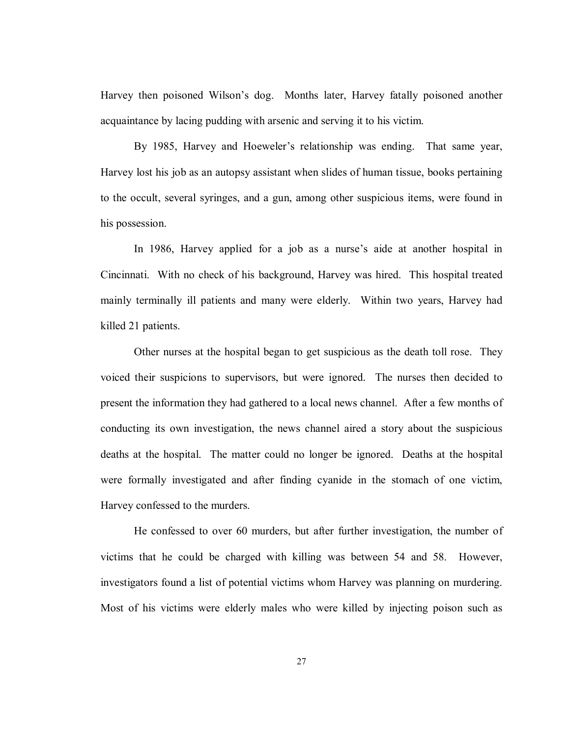Harvey then poisoned Wilson's dog. Months later, Harvey fatally poisoned another acquaintance by lacing pudding with arsenic and serving it to his victim.

By 1985, Harvey and Hoeweler's relationship was ending. That same year, Harvey lost his job as an autopsy assistant when slides of human tissue, books pertaining to the occult, several syringes, and a gun, among other suspicious items, were found in his possession.

In 1986, Harvey applied for a job as a nurse's aide at another hospital in Cincinnati. With no check of his background, Harvey was hired. This hospital treated mainly terminally ill patients and many were elderly. Within two years, Harvey had killed 21 patients.

Other nurses at the hospital began to get suspicious as the death toll rose. They voiced their suspicions to supervisors, but were ignored. The nurses then decided to present the information they had gathered to a local news channel. After a few months of conducting its own investigation, the news channel aired a story about the suspicious deaths at the hospital. The matter could no longer be ignored. Deaths at the hospital were formally investigated and after finding cyanide in the stomach of one victim, Harvey confessed to the murders.

He confessed to over 60 murders, but after further investigation, the number of victims that he could be charged with killing was between 54 and 58. However, investigators found a list of potential victims whom Harvey was planning on murdering. Most of his victims were elderly males who were killed by injecting poison such as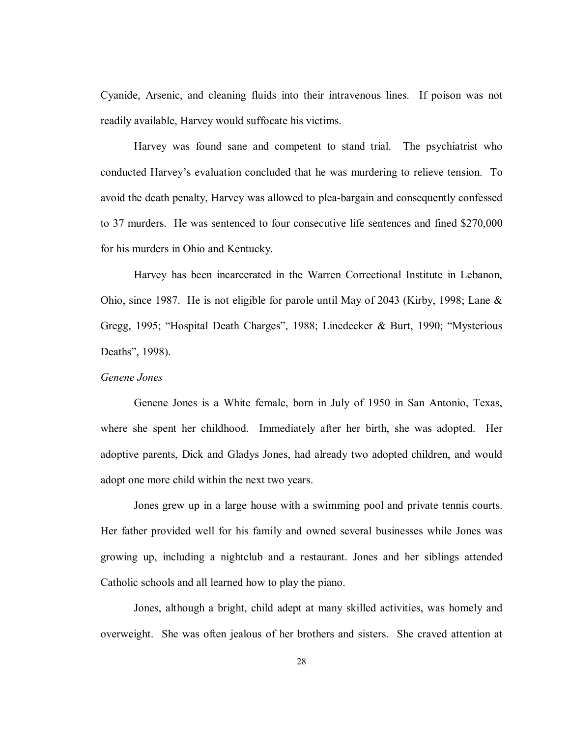Cyanide, Arsenic, and cleaning fluids into their intravenous lines. If poison was not readily available, Harvey would suffocate his victims.

Harvey was found sane and competent to stand trial. The psychiatrist who conducted Harvey's evaluation concluded that he was murdering to relieve tension. To avoid the death penalty, Harvey was allowed to plea-bargain and consequently confessed to 37 murders. He was sentenced to four consecutive life sentences and fined \$270,000 for his murders in Ohio and Kentucky.

Harvey has been incarcerated in the Warren Correctional Institute in Lebanon, Ohio, since 1987. He is not eligible for parole until May of 2043 (Kirby, 1998; Lane & Gregg, 1995; "Hospital Death Charges", 1988; Linedecker & Burt, 1990; "Mysterious Deaths", 1998).

#### *Genene Jones*

Genene Jones is a White female, born in July of 1950 in San Antonio, Texas, where she spent her childhood. Immediately after her birth, she was adopted. Her adoptive parents, Dick and Gladys Jones, had already two adopted children, and would adopt one more child within the next two years.

Jones grew up in a large house with a swimming pool and private tennis courts. Her father provided well for his family and owned several businesses while Jones was growing up, including a nightclub and a restaurant. Jones and her siblings attended Catholic schools and all learned how to play the piano.

Jones, although a bright, child adept at many skilled activities, was homely and overweight. She was often jealous of her brothers and sisters. She craved attention at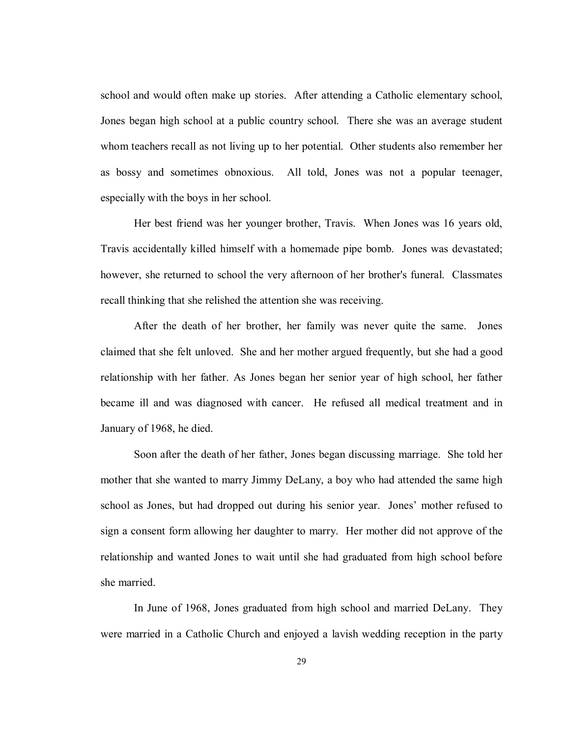school and would often make up stories. After attending a Catholic elementary school, Jones began high school at a public country school. There she was an average student whom teachers recall as not living up to her potential. Other students also remember her as bossy and sometimes obnoxious. All told, Jones was not a popular teenager, especially with the boys in her school.

Her best friend was her younger brother, Travis. When Jones was 16 years old, Travis accidentally killed himself with a homemade pipe bomb. Jones was devastated; however, she returned to school the very afternoon of her brother's funeral. Classmates recall thinking that she relished the attention she was receiving.

After the death of her brother, her family was never quite the same. Jones claimed that she felt unloved. She and her mother argued frequently, but she had a good relationship with her father. As Jones began her senior year of high school, her father became ill and was diagnosed with cancer. He refused all medical treatment and in January of 1968, he died.

Soon after the death of her father, Jones began discussing marriage. She told her mother that she wanted to marry Jimmy DeLany, a boy who had attended the same high school as Jones, but had dropped out during his senior year. Jones' mother refused to sign a consent form allowing her daughter to marry. Her mother did not approve of the relationship and wanted Jones to wait until she had graduated from high school before she married.

In June of 1968, Jones graduated from high school and married DeLany. They were married in a Catholic Church and enjoyed a lavish wedding reception in the party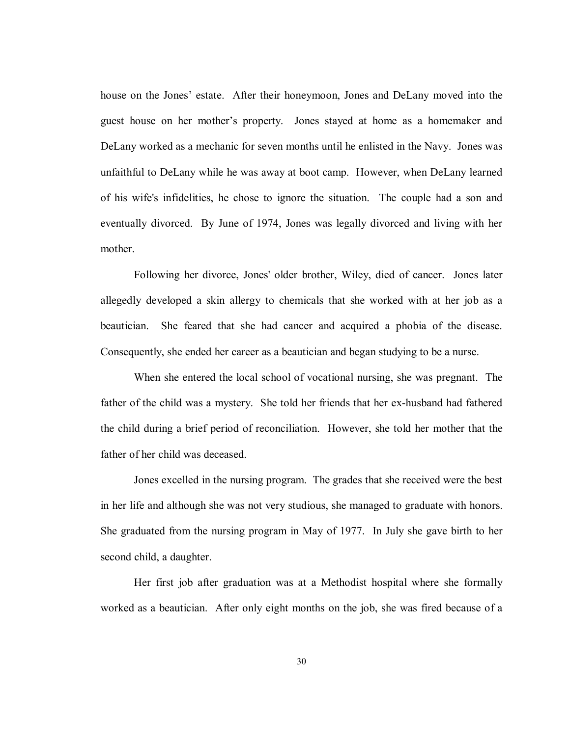house on the Jones' estate. After their honeymoon, Jones and DeLany moved into the guest house on her mother's property. Jones stayed at home as a homemaker and DeLany worked as a mechanic for seven months until he enlisted in the Navy. Jones was unfaithful to DeLany while he was away at boot camp. However, when DeLany learned of his wife's infidelities, he chose to ignore the situation. The couple had a son and eventually divorced. By June of 1974, Jones was legally divorced and living with her mother.

Following her divorce, Jones' older brother, Wiley, died of cancer. Jones later allegedly developed a skin allergy to chemicals that she worked with at her job as a beautician. She feared that she had cancer and acquired a phobia of the disease. Consequently, she ended her career as a beautician and began studying to be a nurse.

When she entered the local school of vocational nursing, she was pregnant. The father of the child was a mystery. She told her friends that her ex-husband had fathered the child during a brief period of reconciliation. However, she told her mother that the father of her child was deceased.

Jones excelled in the nursing program. The grades that she received were the best in her life and although she was not very studious, she managed to graduate with honors. She graduated from the nursing program in May of 1977. In July she gave birth to her second child, a daughter.

Her first job after graduation was at a Methodist hospital where she formally worked as a beautician. After only eight months on the job, she was fired because of a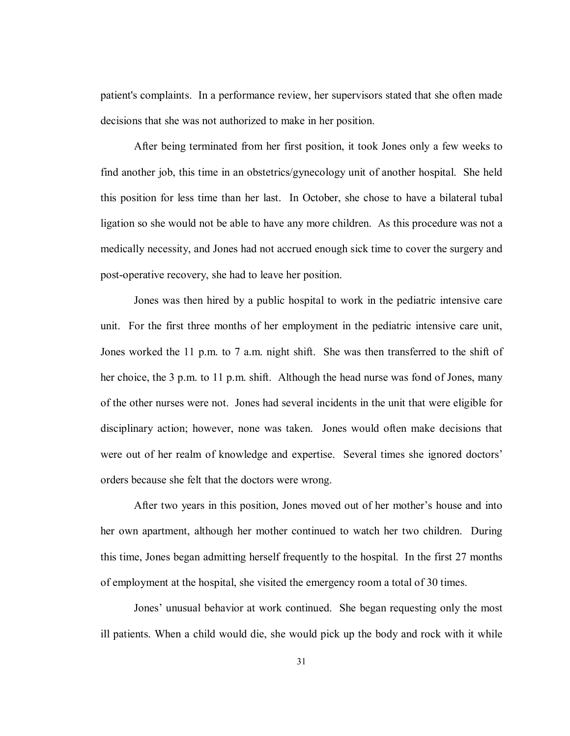patient's complaints. In a performance review, her supervisors stated that she often made decisions that she was not authorized to make in her position.

After being terminated from her first position, it took Jones only a few weeks to find another job, this time in an obstetrics/gynecology unit of another hospital. She held this position for less time than her last. In October, she chose to have a bilateral tubal ligation so she would not be able to have any more children. As this procedure was not a medically necessity, and Jones had not accrued enough sick time to cover the surgery and post-operative recovery, she had to leave her position.

Jones was then hired by a public hospital to work in the pediatric intensive care unit. For the first three months of her employment in the pediatric intensive care unit, Jones worked the 11 p.m. to 7 a.m. night shift. She was then transferred to the shift of her choice, the 3 p.m. to 11 p.m. shift. Although the head nurse was fond of Jones, many of the other nurses were not. Jones had several incidents in the unit that were eligible for disciplinary action; however, none was taken. Jones would often make decisions that were out of her realm of knowledge and expertise. Several times she ignored doctors' orders because she felt that the doctors were wrong.

After two years in this position, Jones moved out of her mother's house and into her own apartment, although her mother continued to watch her two children. During this time, Jones began admitting herself frequently to the hospital. In the first 27 months of employment at the hospital, she visited the emergency room a total of 30 times.

Jones' unusual behavior at work continued. She began requesting only the most ill patients. When a child would die, she would pick up the body and rock with it while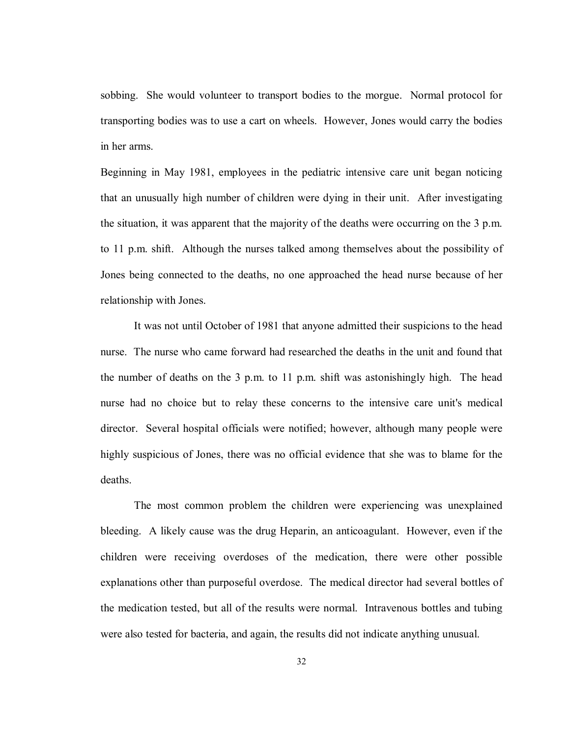sobbing. She would volunteer to transport bodies to the morgue. Normal protocol for transporting bodies was to use a cart on wheels. However, Jones would carry the bodies in her arms.

Beginning in May 1981, employees in the pediatric intensive care unit began noticing that an unusually high number of children were dying in their unit. After investigating the situation, it was apparent that the majority of the deaths were occurring on the 3 p.m. to 11 p.m. shift. Although the nurses talked among themselves about the possibility of Jones being connected to the deaths, no one approached the head nurse because of her relationship with Jones.

It was not until October of 1981 that anyone admitted their suspicions to the head nurse. The nurse who came forward had researched the deaths in the unit and found that the number of deaths on the 3 p.m. to 11 p.m. shift was astonishingly high. The head nurse had no choice but to relay these concerns to the intensive care unit's medical director. Several hospital officials were notified; however, although many people were highly suspicious of Jones, there was no official evidence that she was to blame for the deaths.

The most common problem the children were experiencing was unexplained bleeding. A likely cause was the drug Heparin, an anticoagulant. However, even if the children were receiving overdoses of the medication, there were other possible explanations other than purposeful overdose. The medical director had several bottles of the medication tested, but all of the results were normal. Intravenous bottles and tubing were also tested for bacteria, and again, the results did not indicate anything unusual.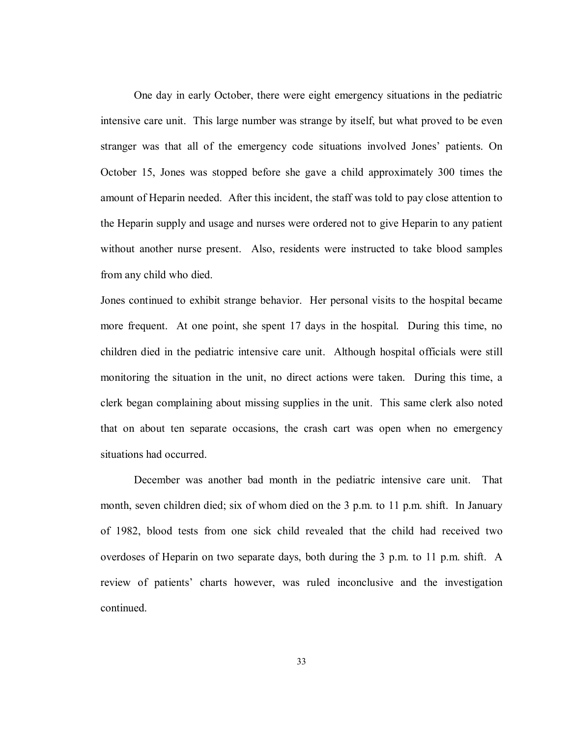One day in early October, there were eight emergency situations in the pediatric intensive care unit. This large number was strange by itself, but what proved to be even stranger was that all of the emergency code situations involved Jones' patients. On October 15, Jones was stopped before she gave a child approximately 300 times the amount of Heparin needed. After this incident, the staff was told to pay close attention to the Heparin supply and usage and nurses were ordered not to give Heparin to any patient without another nurse present. Also, residents were instructed to take blood samples from any child who died.

Jones continued to exhibit strange behavior. Her personal visits to the hospital became more frequent. At one point, she spent 17 days in the hospital. During this time, no children died in the pediatric intensive care unit. Although hospital officials were still monitoring the situation in the unit, no direct actions were taken. During this time, a clerk began complaining about missing supplies in the unit. This same clerk also noted that on about ten separate occasions, the crash cart was open when no emergency situations had occurred.

December was another bad month in the pediatric intensive care unit. That month, seven children died; six of whom died on the 3 p.m. to 11 p.m. shift. In January of 1982, blood tests from one sick child revealed that the child had received two overdoses of Heparin on two separate days, both during the 3 p.m. to 11 p.m. shift. A review of patients' charts however, was ruled inconclusive and the investigation continued.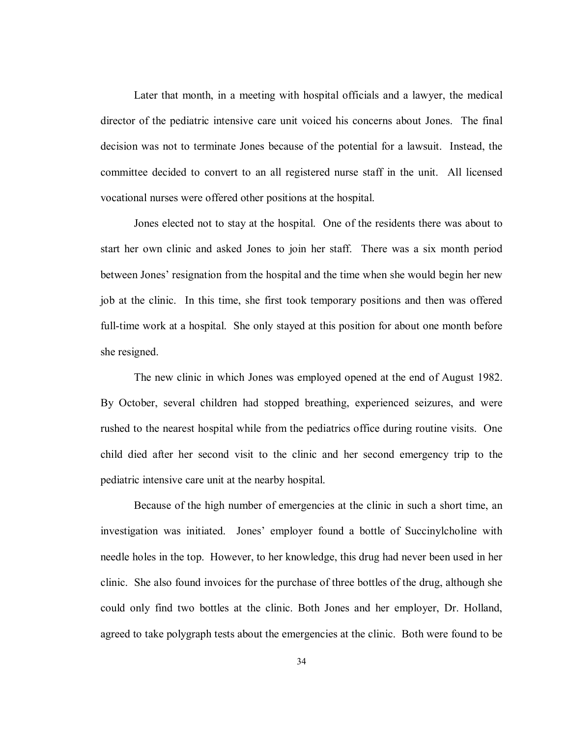Later that month, in a meeting with hospital officials and a lawyer, the medical director of the pediatric intensive care unit voiced his concerns about Jones. The final decision was not to terminate Jones because of the potential for a lawsuit. Instead, the committee decided to convert to an all registered nurse staff in the unit. All licensed vocational nurses were offered other positions at the hospital.

Jones elected not to stay at the hospital. One of the residents there was about to start her own clinic and asked Jones to join her staff. There was a six month period between Jones' resignation from the hospital and the time when she would begin her new job at the clinic. In this time, she first took temporary positions and then was offered full-time work at a hospital. She only stayed at this position for about one month before she resigned.

The new clinic in which Jones was employed opened at the end of August 1982. By October, several children had stopped breathing, experienced seizures, and were rushed to the nearest hospital while from the pediatrics office during routine visits. One child died after her second visit to the clinic and her second emergency trip to the pediatric intensive care unit at the nearby hospital.

Because of the high number of emergencies at the clinic in such a short time, an investigation was initiated. Jones' employer found a bottle of Succinylcholine with needle holes in the top. However, to her knowledge, this drug had never been used in her clinic. She also found invoices for the purchase of three bottles of the drug, although she could only find two bottles at the clinic. Both Jones and her employer, Dr. Holland, agreed to take polygraph tests about the emergencies at the clinic. Both were found to be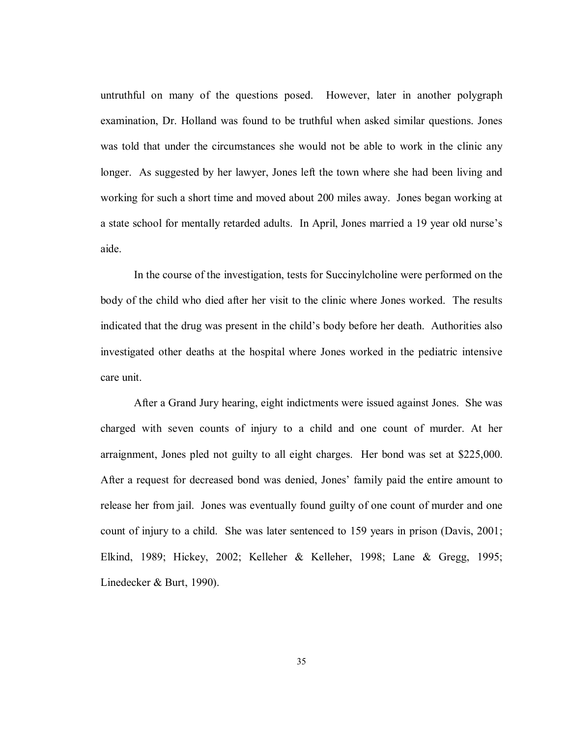untruthful on many of the questions posed. However, later in another polygraph examination, Dr. Holland was found to be truthful when asked similar questions. Jones was told that under the circumstances she would not be able to work in the clinic any longer. As suggested by her lawyer, Jones left the town where she had been living and working for such a short time and moved about 200 miles away. Jones began working at a state school for mentally retarded adults. In April, Jones married a 19 year old nurse's aide.

In the course of the investigation, tests for Succinylcholine were performed on the body of the child who died after her visit to the clinic where Jones worked. The results indicated that the drug was present in the child's body before her death. Authorities also investigated other deaths at the hospital where Jones worked in the pediatric intensive care unit.

After a Grand Jury hearing, eight indictments were issued against Jones. She was charged with seven counts of injury to a child and one count of murder. At her arraignment, Jones pled not guilty to all eight charges. Her bond was set at \$225,000. After a request for decreased bond was denied, Jones' family paid the entire amount to release her from jail. Jones was eventually found guilty of one count of murder and one count of injury to a child. She was later sentenced to 159 years in prison (Davis, 2001; Elkind, 1989; Hickey, 2002; Kelleher & Kelleher, 1998; Lane & Gregg, 1995; Linedecker & Burt, 1990).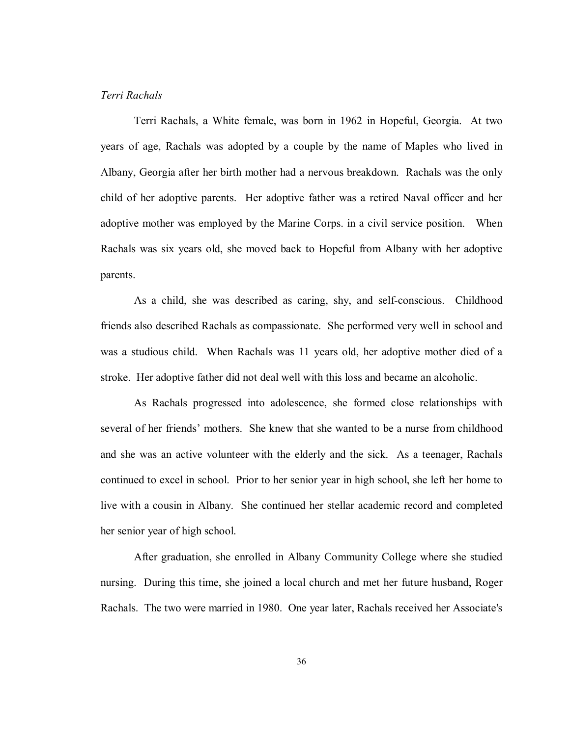## *Terri Rachals*

Terri Rachals, a White female, was born in 1962 in Hopeful, Georgia. At two years of age, Rachals was adopted by a couple by the name of Maples who lived in Albany, Georgia after her birth mother had a nervous breakdown. Rachals was the only child of her adoptive parents. Her adoptive father was a retired Naval officer and her adoptive mother was employed by the Marine Corps. in a civil service position. When Rachals was six years old, she moved back to Hopeful from Albany with her adoptive parents.

As a child, she was described as caring, shy, and self-conscious. Childhood friends also described Rachals as compassionate. She performed very well in school and was a studious child. When Rachals was 11 years old, her adoptive mother died of a stroke. Her adoptive father did not deal well with this loss and became an alcoholic.

As Rachals progressed into adolescence, she formed close relationships with several of her friends' mothers. She knew that she wanted to be a nurse from childhood and she was an active volunteer with the elderly and the sick. As a teenager, Rachals continued to excel in school. Prior to her senior year in high school, she left her home to live with a cousin in Albany. She continued her stellar academic record and completed her senior year of high school.

After graduation, she enrolled in Albany Community College where she studied nursing. During this time, she joined a local church and met her future husband, Roger Rachals. The two were married in 1980. One year later, Rachals received her Associate's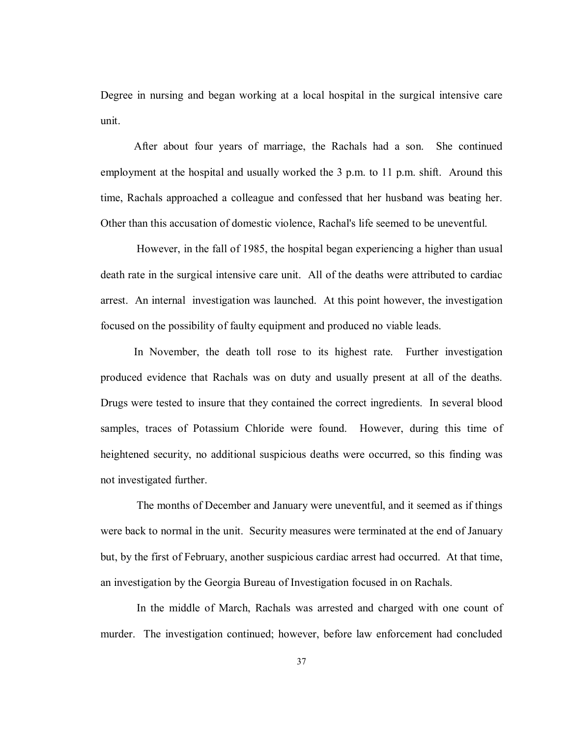Degree in nursing and began working at a local hospital in the surgical intensive care unit.

After about four years of marriage, the Rachals had a son. She continued employment at the hospital and usually worked the 3 p.m. to 11 p.m. shift. Around this time, Rachals approached a colleague and confessed that her husband was beating her. Other than this accusation of domestic violence, Rachal's life seemed to be uneventful.

 However, in the fall of 1985, the hospital began experiencing a higher than usual death rate in the surgical intensive care unit. All of the deaths were attributed to cardiac arrest. An internal investigation was launched. At this point however, the investigation focused on the possibility of faulty equipment and produced no viable leads.

In November, the death toll rose to its highest rate. Further investigation produced evidence that Rachals was on duty and usually present at all of the deaths. Drugs were tested to insure that they contained the correct ingredients. In several blood samples, traces of Potassium Chloride were found. However, during this time of heightened security, no additional suspicious deaths were occurred, so this finding was not investigated further.

 The months of December and January were uneventful, and it seemed as if things were back to normal in the unit. Security measures were terminated at the end of January but, by the first of February, another suspicious cardiac arrest had occurred. At that time, an investigation by the Georgia Bureau of Investigation focused in on Rachals.

 In the middle of March, Rachals was arrested and charged with one count of murder. The investigation continued; however, before law enforcement had concluded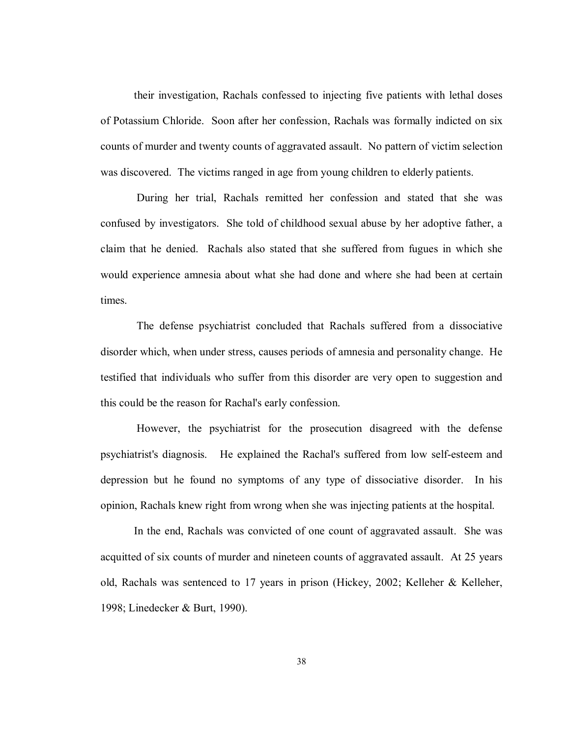their investigation, Rachals confessed to injecting five patients with lethal doses of Potassium Chloride. Soon after her confession, Rachals was formally indicted on six counts of murder and twenty counts of aggravated assault. No pattern of victim selection was discovered. The victims ranged in age from young children to elderly patients.

 During her trial, Rachals remitted her confession and stated that she was confused by investigators. She told of childhood sexual abuse by her adoptive father, a claim that he denied. Rachals also stated that she suffered from fugues in which she would experience amnesia about what she had done and where she had been at certain times.

 The defense psychiatrist concluded that Rachals suffered from a dissociative disorder which, when under stress, causes periods of amnesia and personality change. He testified that individuals who suffer from this disorder are very open to suggestion and this could be the reason for Rachal's early confession.

 However, the psychiatrist for the prosecution disagreed with the defense psychiatrist's diagnosis. He explained the Rachal's suffered from low self-esteem and depression but he found no symptoms of any type of dissociative disorder. In his opinion, Rachals knew right from wrong when she was injecting patients at the hospital.

In the end, Rachals was convicted of one count of aggravated assault. She was acquitted of six counts of murder and nineteen counts of aggravated assault. At 25 years old, Rachals was sentenced to 17 years in prison (Hickey, 2002; Kelleher & Kelleher, 1998; Linedecker & Burt, 1990).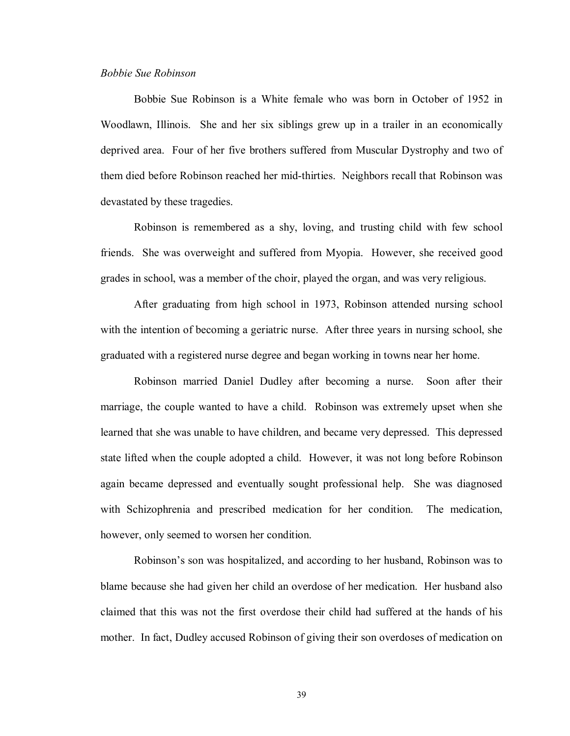# *Bobbie Sue Robinson*

Bobbie Sue Robinson is a White female who was born in October of 1952 in Woodlawn, Illinois. She and her six siblings grew up in a trailer in an economically deprived area. Four of her five brothers suffered from Muscular Dystrophy and two of them died before Robinson reached her mid-thirties. Neighbors recall that Robinson was devastated by these tragedies.

Robinson is remembered as a shy, loving, and trusting child with few school friends. She was overweight and suffered from Myopia. However, she received good grades in school, was a member of the choir, played the organ, and was very religious.

After graduating from high school in 1973, Robinson attended nursing school with the intention of becoming a geriatric nurse. After three years in nursing school, she graduated with a registered nurse degree and began working in towns near her home.

Robinson married Daniel Dudley after becoming a nurse. Soon after their marriage, the couple wanted to have a child. Robinson was extremely upset when she learned that she was unable to have children, and became very depressed. This depressed state lifted when the couple adopted a child. However, it was not long before Robinson again became depressed and eventually sought professional help. She was diagnosed with Schizophrenia and prescribed medication for her condition. The medication, however, only seemed to worsen her condition.

Robinson's son was hospitalized, and according to her husband, Robinson was to blame because she had given her child an overdose of her medication. Her husband also claimed that this was not the first overdose their child had suffered at the hands of his mother. In fact, Dudley accused Robinson of giving their son overdoses of medication on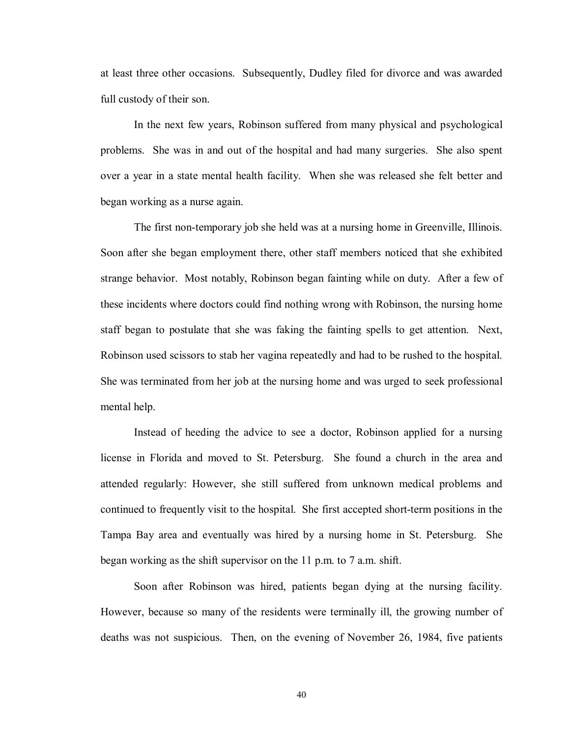at least three other occasions. Subsequently, Dudley filed for divorce and was awarded full custody of their son.

In the next few years, Robinson suffered from many physical and psychological problems. She was in and out of the hospital and had many surgeries. She also spent over a year in a state mental health facility. When she was released she felt better and began working as a nurse again.

The first non-temporary job she held was at a nursing home in Greenville, Illinois. Soon after she began employment there, other staff members noticed that she exhibited strange behavior. Most notably, Robinson began fainting while on duty. After a few of these incidents where doctors could find nothing wrong with Robinson, the nursing home staff began to postulate that she was faking the fainting spells to get attention. Next, Robinson used scissors to stab her vagina repeatedly and had to be rushed to the hospital. She was terminated from her job at the nursing home and was urged to seek professional mental help.

Instead of heeding the advice to see a doctor, Robinson applied for a nursing license in Florida and moved to St. Petersburg. She found a church in the area and attended regularly: However, she still suffered from unknown medical problems and continued to frequently visit to the hospital. She first accepted short-term positions in the Tampa Bay area and eventually was hired by a nursing home in St. Petersburg. She began working as the shift supervisor on the 11 p.m. to 7 a.m. shift.

Soon after Robinson was hired, patients began dying at the nursing facility. However, because so many of the residents were terminally ill, the growing number of deaths was not suspicious. Then, on the evening of November 26, 1984, five patients

40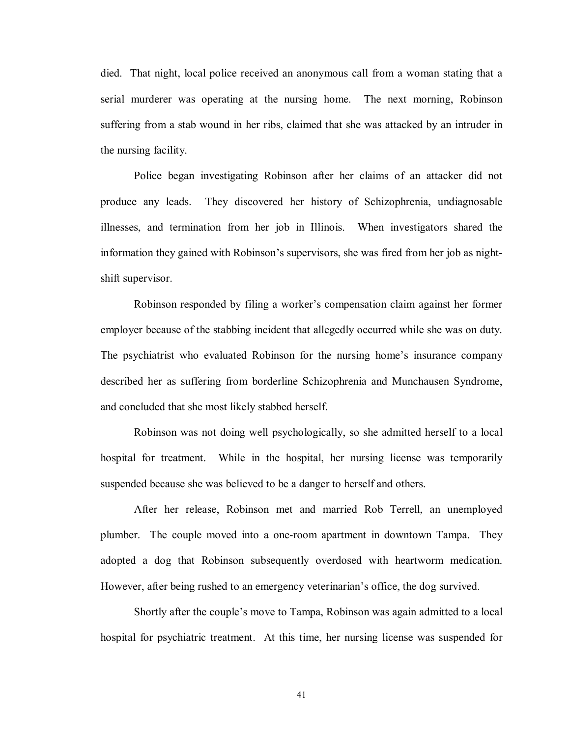died. That night, local police received an anonymous call from a woman stating that a serial murderer was operating at the nursing home. The next morning, Robinson suffering from a stab wound in her ribs, claimed that she was attacked by an intruder in the nursing facility.

Police began investigating Robinson after her claims of an attacker did not produce any leads. They discovered her history of Schizophrenia, undiagnosable illnesses, and termination from her job in Illinois. When investigators shared the information they gained with Robinson's supervisors, she was fired from her job as nightshift supervisor.

Robinson responded by filing a worker's compensation claim against her former employer because of the stabbing incident that allegedly occurred while she was on duty. The psychiatrist who evaluated Robinson for the nursing home's insurance company described her as suffering from borderline Schizophrenia and Munchausen Syndrome, and concluded that she most likely stabbed herself.

Robinson was not doing well psychologically, so she admitted herself to a local hospital for treatment. While in the hospital, her nursing license was temporarily suspended because she was believed to be a danger to herself and others.

After her release, Robinson met and married Rob Terrell, an unemployed plumber. The couple moved into a one-room apartment in downtown Tampa. They adopted a dog that Robinson subsequently overdosed with heartworm medication. However, after being rushed to an emergency veterinarian's office, the dog survived.

Shortly after the couple's move to Tampa, Robinson was again admitted to a local hospital for psychiatric treatment. At this time, her nursing license was suspended for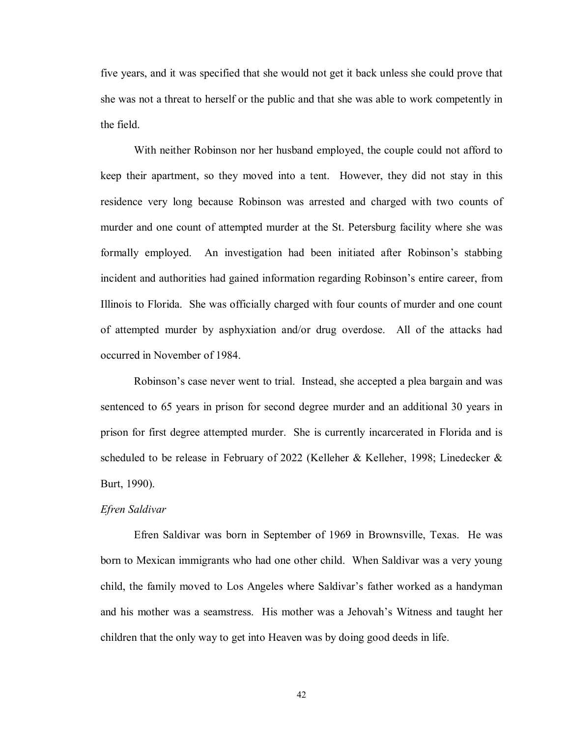five years, and it was specified that she would not get it back unless she could prove that she was not a threat to herself or the public and that she was able to work competently in the field.

With neither Robinson nor her husband employed, the couple could not afford to keep their apartment, so they moved into a tent. However, they did not stay in this residence very long because Robinson was arrested and charged with two counts of murder and one count of attempted murder at the St. Petersburg facility where she was formally employed. An investigation had been initiated after Robinson's stabbing incident and authorities had gained information regarding Robinson's entire career, from Illinois to Florida. She was officially charged with four counts of murder and one count of attempted murder by asphyxiation and/or drug overdose. All of the attacks had occurred in November of 1984.

Robinson's case never went to trial. Instead, she accepted a plea bargain and was sentenced to 65 years in prison for second degree murder and an additional 30 years in prison for first degree attempted murder. She is currently incarcerated in Florida and is scheduled to be release in February of 2022 (Kelleher & Kelleher, 1998; Linedecker & Burt, 1990).

# *Efren Saldivar*

 Efren Saldivar was born in September of 1969 in Brownsville, Texas. He was born to Mexican immigrants who had one other child. When Saldivar was a very young child, the family moved to Los Angeles where Saldivar's father worked as a handyman and his mother was a seamstress. His mother was a Jehovah's Witness and taught her children that the only way to get into Heaven was by doing good deeds in life.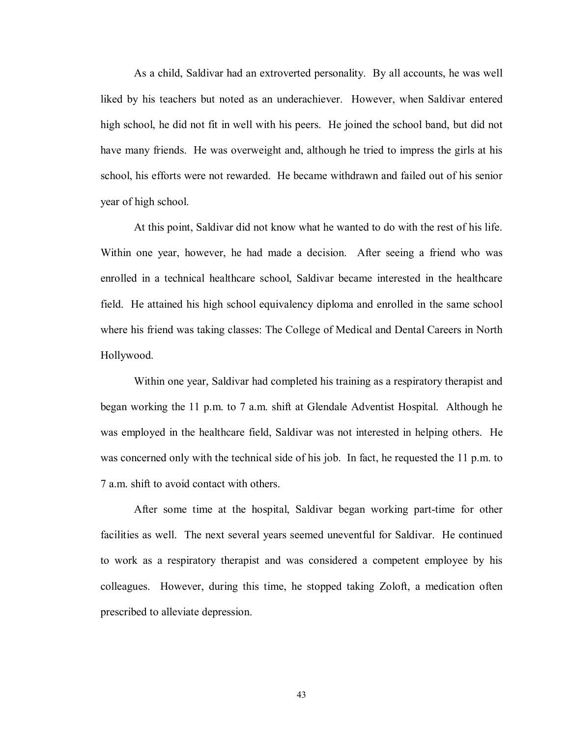As a child, Saldivar had an extroverted personality. By all accounts, he was well liked by his teachers but noted as an underachiever. However, when Saldivar entered high school, he did not fit in well with his peers. He joined the school band, but did not have many friends. He was overweight and, although he tried to impress the girls at his school, his efforts were not rewarded. He became withdrawn and failed out of his senior year of high school.

 At this point, Saldivar did not know what he wanted to do with the rest of his life. Within one year, however, he had made a decision. After seeing a friend who was enrolled in a technical healthcare school, Saldivar became interested in the healthcare field. He attained his high school equivalency diploma and enrolled in the same school where his friend was taking classes: The College of Medical and Dental Careers in North Hollywood.

Within one year, Saldivar had completed his training as a respiratory therapist and began working the 11 p.m. to 7 a.m. shift at Glendale Adventist Hospital. Although he was employed in the healthcare field, Saldivar was not interested in helping others. He was concerned only with the technical side of his job. In fact, he requested the 11 p.m. to 7 a.m. shift to avoid contact with others.

After some time at the hospital, Saldivar began working part-time for other facilities as well. The next several years seemed uneventful for Saldivar. He continued to work as a respiratory therapist and was considered a competent employee by his colleagues. However, during this time, he stopped taking Zoloft, a medication often prescribed to alleviate depression.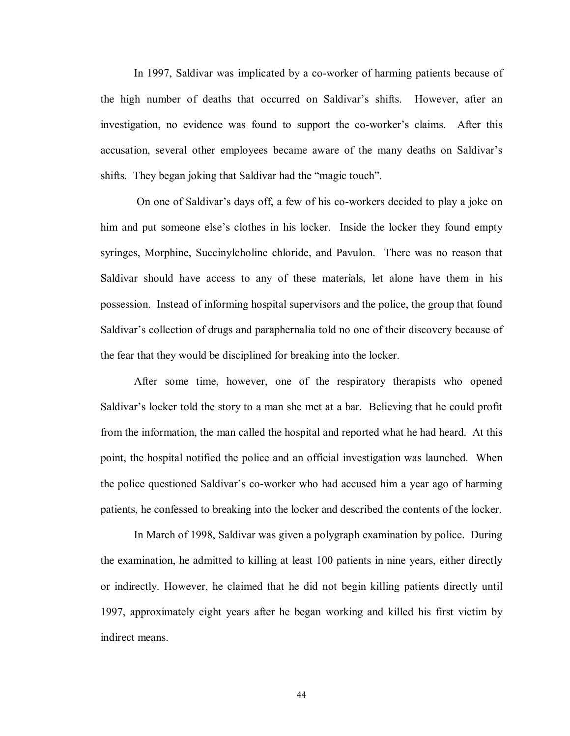In 1997, Saldivar was implicated by a co-worker of harming patients because of the high number of deaths that occurred on Saldivar's shifts. However, after an investigation, no evidence was found to support the co-worker's claims. After this accusation, several other employees became aware of the many deaths on Saldivar's shifts. They began joking that Saldivar had the "magic touch".

 On one of Saldivar's days off, a few of his co-workers decided to play a joke on him and put someone else's clothes in his locker. Inside the locker they found empty syringes, Morphine, Succinylcholine chloride, and Pavulon. There was no reason that Saldivar should have access to any of these materials, let alone have them in his possession. Instead of informing hospital supervisors and the police, the group that found Saldivar's collection of drugs and paraphernalia told no one of their discovery because of the fear that they would be disciplined for breaking into the locker.

After some time, however, one of the respiratory therapists who opened Saldivar's locker told the story to a man she met at a bar. Believing that he could profit from the information, the man called the hospital and reported what he had heard. At this point, the hospital notified the police and an official investigation was launched. When the police questioned Saldivar's co-worker who had accused him a year ago of harming patients, he confessed to breaking into the locker and described the contents of the locker.

 In March of 1998, Saldivar was given a polygraph examination by police. During the examination, he admitted to killing at least 100 patients in nine years, either directly or indirectly. However, he claimed that he did not begin killing patients directly until 1997, approximately eight years after he began working and killed his first victim by indirect means.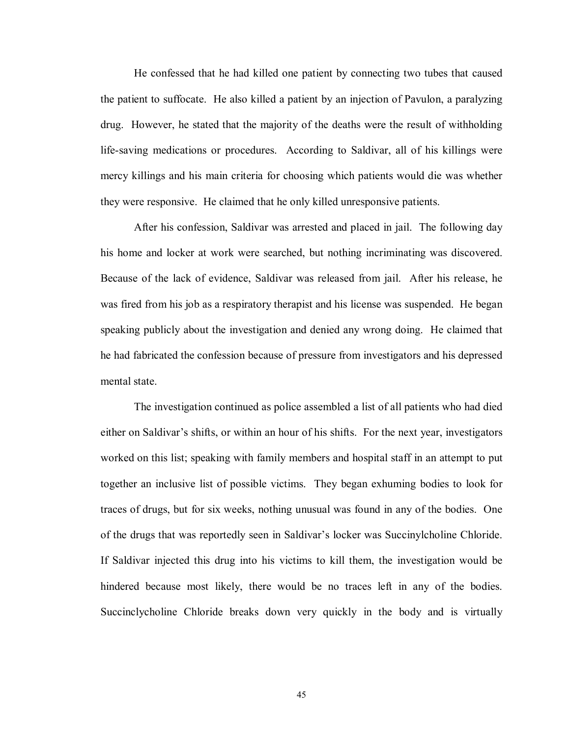He confessed that he had killed one patient by connecting two tubes that caused the patient to suffocate. He also killed a patient by an injection of Pavulon, a paralyzing drug. However, he stated that the majority of the deaths were the result of withholding life-saving medications or procedures. According to Saldivar, all of his killings were mercy killings and his main criteria for choosing which patients would die was whether they were responsive. He claimed that he only killed unresponsive patients.

After his confession, Saldivar was arrested and placed in jail. The following day his home and locker at work were searched, but nothing incriminating was discovered. Because of the lack of evidence, Saldivar was released from jail. After his release, he was fired from his job as a respiratory therapist and his license was suspended. He began speaking publicly about the investigation and denied any wrong doing. He claimed that he had fabricated the confession because of pressure from investigators and his depressed mental state.

The investigation continued as police assembled a list of all patients who had died either on Saldivar's shifts, or within an hour of his shifts. For the next year, investigators worked on this list; speaking with family members and hospital staff in an attempt to put together an inclusive list of possible victims. They began exhuming bodies to look for traces of drugs, but for six weeks, nothing unusual was found in any of the bodies. One of the drugs that was reportedly seen in Saldivar's locker was Succinylcholine Chloride. If Saldivar injected this drug into his victims to kill them, the investigation would be hindered because most likely, there would be no traces left in any of the bodies. Succinclycholine Chloride breaks down very quickly in the body and is virtually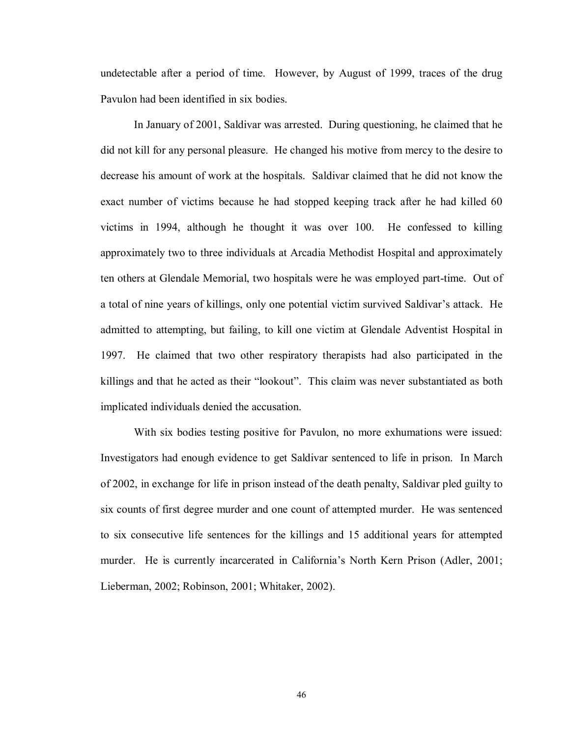undetectable after a period of time. However, by August of 1999, traces of the drug Pavulon had been identified in six bodies.

In January of 2001, Saldivar was arrested. During questioning, he claimed that he did not kill for any personal pleasure. He changed his motive from mercy to the desire to decrease his amount of work at the hospitals. Saldivar claimed that he did not know the exact number of victims because he had stopped keeping track after he had killed 60 victims in 1994, although he thought it was over 100. He confessed to killing approximately two to three individuals at Arcadia Methodist Hospital and approximately ten others at Glendale Memorial, two hospitals were he was employed part-time. Out of a total of nine years of killings, only one potential victim survived Saldivar's attack. He admitted to attempting, but failing, to kill one victim at Glendale Adventist Hospital in 1997. He claimed that two other respiratory therapists had also participated in the killings and that he acted as their "lookout". This claim was never substantiated as both implicated individuals denied the accusation.

With six bodies testing positive for Pavulon, no more exhumations were issued: Investigators had enough evidence to get Saldivar sentenced to life in prison. In March of 2002, in exchange for life in prison instead of the death penalty, Saldivar pled guilty to six counts of first degree murder and one count of attempted murder. He was sentenced to six consecutive life sentences for the killings and 15 additional years for attempted murder. He is currently incarcerated in California's North Kern Prison (Adler, 2001; Lieberman, 2002; Robinson, 2001; Whitaker, 2002).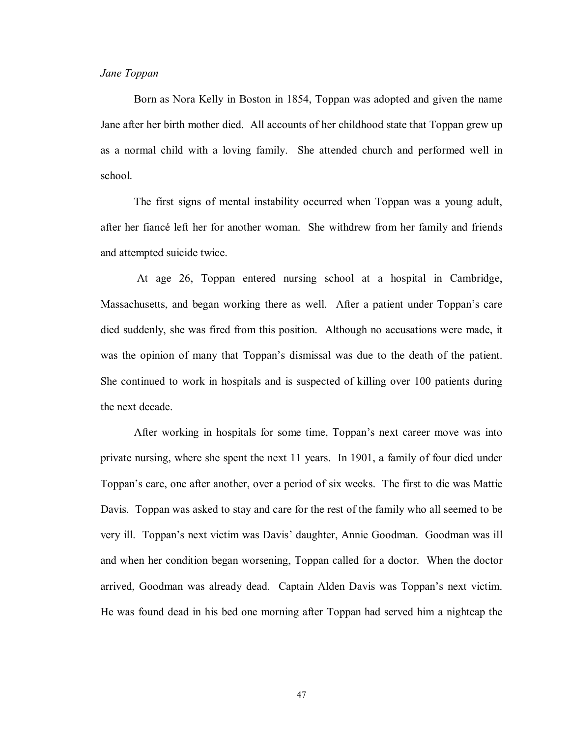# *Jane Toppan*

Born as Nora Kelly in Boston in 1854, Toppan was adopted and given the name Jane after her birth mother died. All accounts of her childhood state that Toppan grew up as a normal child with a loving family. She attended church and performed well in school.

The first signs of mental instability occurred when Toppan was a young adult, after her fiancé left her for another woman. She withdrew from her family and friends and attempted suicide twice.

 At age 26, Toppan entered nursing school at a hospital in Cambridge, Massachusetts, and began working there as well. After a patient under Toppan's care died suddenly, she was fired from this position. Although no accusations were made, it was the opinion of many that Toppan's dismissal was due to the death of the patient. She continued to work in hospitals and is suspected of killing over 100 patients during the next decade.

After working in hospitals for some time, Toppan's next career move was into private nursing, where she spent the next 11 years. In 1901, a family of four died under Toppan's care, one after another, over a period of six weeks. The first to die was Mattie Davis. Toppan was asked to stay and care for the rest of the family who all seemed to be very ill. Toppan's next victim was Davis' daughter, Annie Goodman. Goodman was ill and when her condition began worsening, Toppan called for a doctor. When the doctor arrived, Goodman was already dead. Captain Alden Davis was Toppan's next victim. He was found dead in his bed one morning after Toppan had served him a nightcap the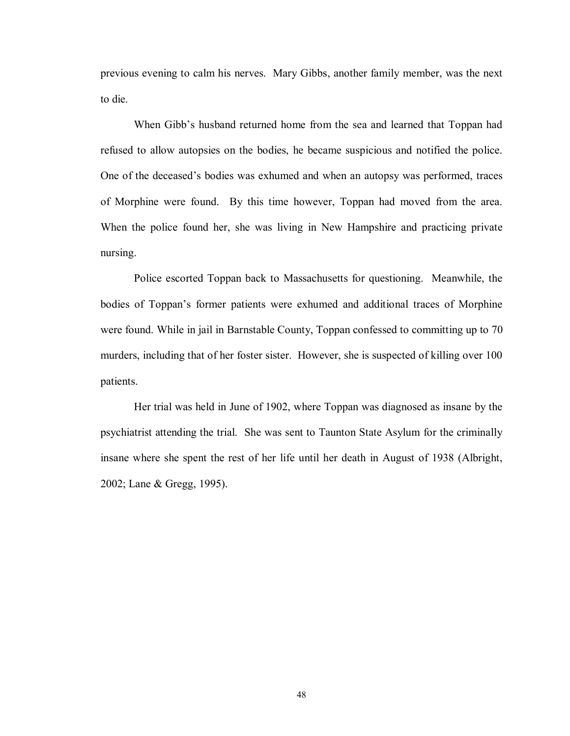previous evening to calm his nerves. Mary Gibbs, another family member, was the next to die.

When Gibb's husband returned home from the sea and learned that Toppan had refused to allow autopsies on the bodies, he became suspicious and notified the police. One of the deceased's bodies was exhumed and when an autopsy was performed, traces of Morphine were found. By this time however, Toppan had moved from the area. When the police found her, she was living in New Hampshire and practicing private nursing.

Police escorted Toppan back to Massachusetts for questioning. Meanwhile, the bodies of Toppan's former patients were exhumed and additional traces of Morphine were found. While in jail in Barnstable County, Toppan confessed to committing up to 70 murders, including that of her foster sister. However, she is suspected of killing over 100 patients.

Her trial was held in June of 1902, where Toppan was diagnosed as insane by the psychiatrist attending the trial. She was sent to Taunton State Asylum for the criminally insane where she spent the rest of her life until her death in August of 1938 (Albright, 2002; Lane & Gregg, 1995).

48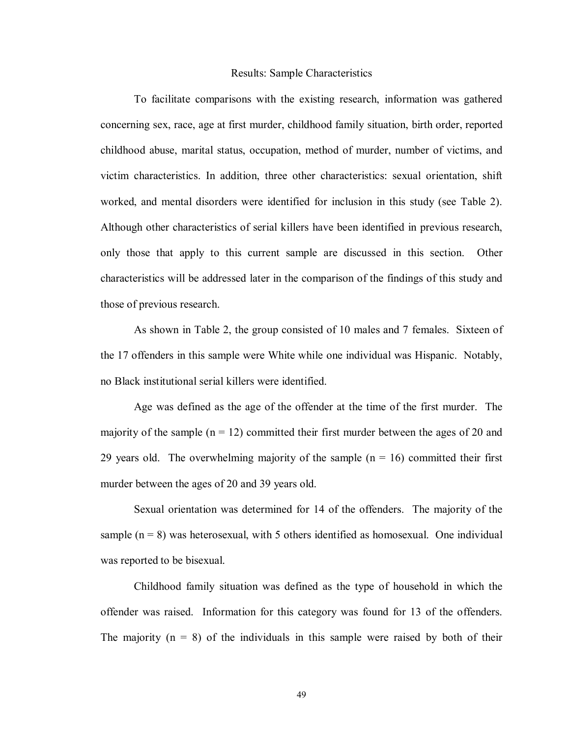#### Results: Sample Characteristics

To facilitate comparisons with the existing research, information was gathered concerning sex, race, age at first murder, childhood family situation, birth order, reported childhood abuse, marital status, occupation, method of murder, number of victims, and victim characteristics. In addition, three other characteristics: sexual orientation, shift worked, and mental disorders were identified for inclusion in this study (see Table 2). Although other characteristics of serial killers have been identified in previous research, only those that apply to this current sample are discussed in this section. Other characteristics will be addressed later in the comparison of the findings of this study and those of previous research.

As shown in Table 2, the group consisted of 10 males and 7 females. Sixteen of the 17 offenders in this sample were White while one individual was Hispanic. Notably, no Black institutional serial killers were identified.

Age was defined as the age of the offender at the time of the first murder. The majority of the sample  $(n = 12)$  committed their first murder between the ages of 20 and 29 years old. The overwhelming majority of the sample  $(n = 16)$  committed their first murder between the ages of 20 and 39 years old.

Sexual orientation was determined for 14 of the offenders. The majority of the sample  $(n = 8)$  was heterosexual, with 5 others identified as homosexual. One individual was reported to be bisexual.

Childhood family situation was defined as the type of household in which the offender was raised. Information for this category was found for 13 of the offenders. The majority  $(n = 8)$  of the individuals in this sample were raised by both of their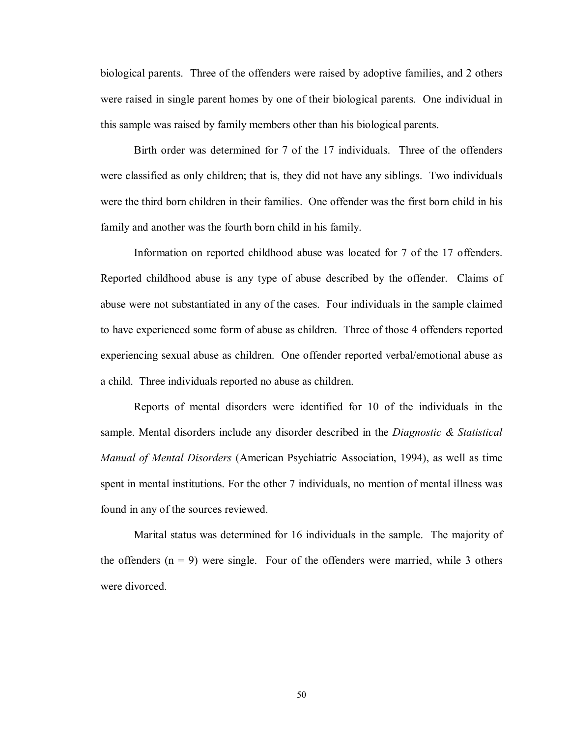biological parents. Three of the offenders were raised by adoptive families, and 2 others were raised in single parent homes by one of their biological parents. One individual in this sample was raised by family members other than his biological parents.

Birth order was determined for 7 of the 17 individuals. Three of the offenders were classified as only children; that is, they did not have any siblings. Two individuals were the third born children in their families. One offender was the first born child in his family and another was the fourth born child in his family.

Information on reported childhood abuse was located for 7 of the 17 offenders. Reported childhood abuse is any type of abuse described by the offender. Claims of abuse were not substantiated in any of the cases. Four individuals in the sample claimed to have experienced some form of abuse as children. Three of those 4 offenders reported experiencing sexual abuse as children. One offender reported verbal/emotional abuse as a child. Three individuals reported no abuse as children.

Reports of mental disorders were identified for 10 of the individuals in the sample. Mental disorders include any disorder described in the *Diagnostic & Statistical Manual of Mental Disorders* (American Psychiatric Association, 1994), as well as time spent in mental institutions. For the other 7 individuals, no mention of mental illness was found in any of the sources reviewed.

 Marital status was determined for 16 individuals in the sample. The majority of the offenders  $(n = 9)$  were single. Four of the offenders were married, while 3 others were divorced.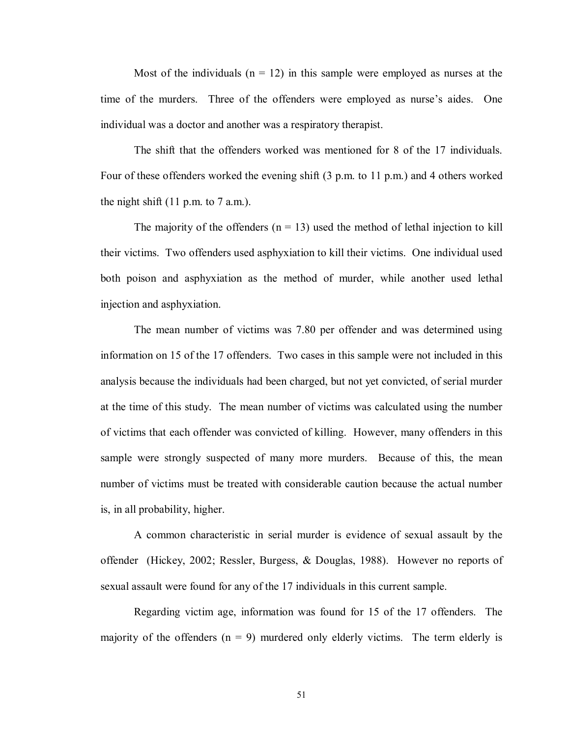Most of the individuals  $(n = 12)$  in this sample were employed as nurses at the time of the murders. Three of the offenders were employed as nurse's aides. One individual was a doctor and another was a respiratory therapist.

 The shift that the offenders worked was mentioned for 8 of the 17 individuals. Four of these offenders worked the evening shift (3 p.m. to 11 p.m.) and 4 others worked the night shift  $(11 \text{ p.m. to } 7 \text{ a.m.}).$ 

The majority of the offenders  $(n = 13)$  used the method of lethal injection to kill their victims. Two offenders used asphyxiation to kill their victims. One individual used both poison and asphyxiation as the method of murder, while another used lethal injection and asphyxiation.

The mean number of victims was 7.80 per offender and was determined using information on 15 of the 17 offenders. Two cases in this sample were not included in this analysis because the individuals had been charged, but not yet convicted, of serial murder at the time of this study. The mean number of victims was calculated using the number of victims that each offender was convicted of killing. However, many offenders in this sample were strongly suspected of many more murders. Because of this, the mean number of victims must be treated with considerable caution because the actual number is, in all probability, higher.

 A common characteristic in serial murder is evidence of sexual assault by the offender (Hickey, 2002; Ressler, Burgess, & Douglas, 1988). However no reports of sexual assault were found for any of the 17 individuals in this current sample.

 Regarding victim age, information was found for 15 of the 17 offenders. The majority of the offenders  $(n = 9)$  murdered only elderly victims. The term elderly is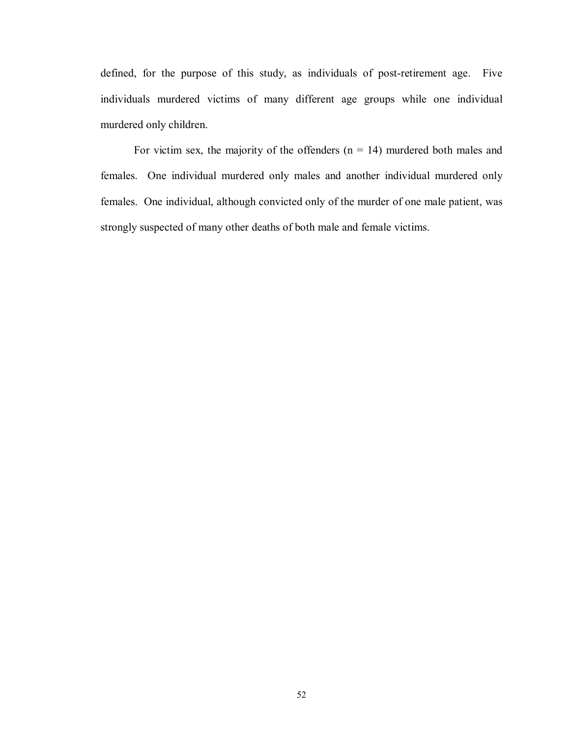defined, for the purpose of this study, as individuals of post-retirement age. Five individuals murdered victims of many different age groups while one individual murdered only children.

For victim sex, the majority of the offenders  $(n = 14)$  murdered both males and females. One individual murdered only males and another individual murdered only females. One individual, although convicted only of the murder of one male patient, was strongly suspected of many other deaths of both male and female victims.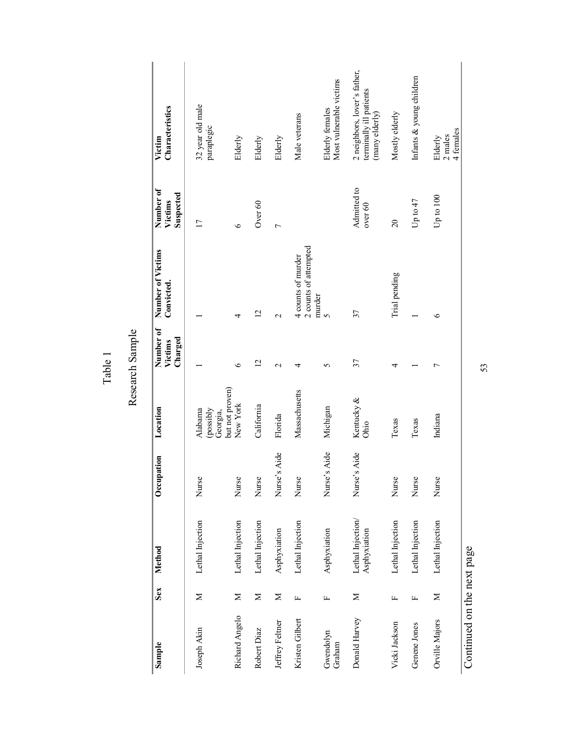| Sample                     | Sex          | Method                            | Occupation      | Location                         | Number of<br>Charged<br>Victims | Number of Victims<br>Convicted.             | Number of<br>Suspected<br>Victims | Characteristics<br>Victim                                                 |
|----------------------------|--------------|-----------------------------------|-----------------|----------------------------------|---------------------------------|---------------------------------------------|-----------------------------------|---------------------------------------------------------------------------|
| Joseph Akin                | Σ            | Lethal Injection                  | Nurse           | (possibly<br>Alabama<br>Georgia, |                                 |                                             | $\overline{17}$                   | 32 year old male<br>paraplegic                                            |
| Richard Angelo             | $\geq$       | Lethal Injection                  | Nurse           | but not proven)<br>New York      | $\circ$                         | 4                                           | $\circ$                           | Elderly                                                                   |
| Robert Diaz                | Z            | Lethal Injection                  | Nurse           | California                       | $\overline{2}$                  | $\overline{2}$                              | Over 60                           | Elderly                                                                   |
| Jeffrey Feltner            | Σ            | Asphyxiation                      | Aide<br>Nurse's | Florida                          | $\mathbf{\Omega}$               | $\mathbf{\Omega}$                           | $\overline{ }$                    | Elderly                                                                   |
| Kristen Gilbert            | щ            | Lethal Injection                  | Nurse           | Massachusetts                    | 4                               | 2 counts of attempted<br>4 counts of murder |                                   | Male veterans                                                             |
| Gwendolyn<br>Graham        | $\mathbf{L}$ | Asphyxiation                      | Aide<br>Nurse's | Michigan                         | 5                               | murder<br>$\sim$                            |                                   | Most vulnerable victims<br><b>Elderly females</b>                         |
| Donald Harvey              | Σ            | Lethal Injection/<br>Asphyxiation | Aide<br>Nurse's | Kentucky &<br>Ohio               | 37                              | 37                                          | Admitted to<br>over $60$          | 2 neighbors, lover's father,<br>terminally ill patients<br>(many elderly) |
| Vicki Jackson              | 圧            | Lethal Injection                  | Nurse           | Texas                            | 4                               | Trial pending                               | $\overline{0}$                    | Mostly elderly                                                            |
| Genene Jones               | Щ            | Lethal Injection                  | Nurse           | Texas                            |                                 |                                             | Up to $47$                        | Infants & young children                                                  |
| Orville Majors             | Σ            | Lethal Injection                  | Nurse           | Indiana                          | Γ                               | $\circ$                                     | Up to $100$                       | 4 females<br>2 males<br>Elderly                                           |
| Continued on the next page |              |                                   |                 |                                  |                                 |                                             |                                   |                                                                           |

Table 1

53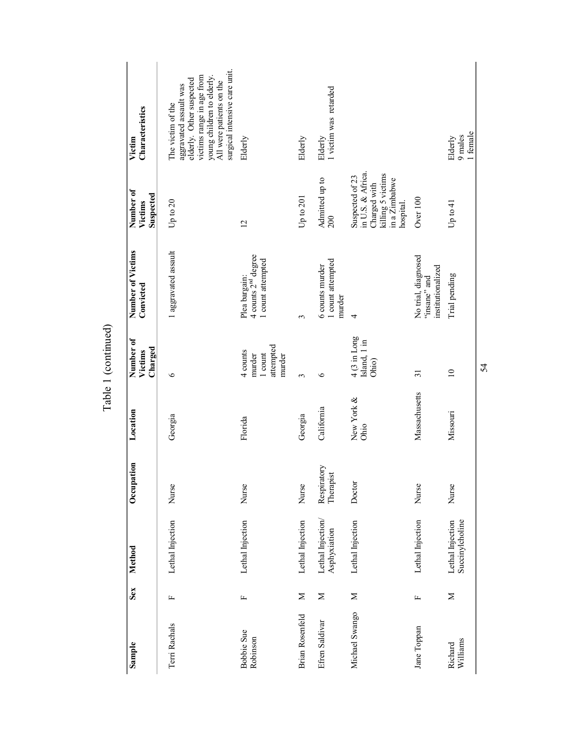| Sample                 | Sex          | Method                              | Occupation               | Location           | Number of<br>Charged<br>Victims                      | Number of Victims<br>Convicted                                        | Number of<br>Suspected<br>Victims                                                                       | Characteristics<br>Victim                                                                                                                                                                       |
|------------------------|--------------|-------------------------------------|--------------------------|--------------------|------------------------------------------------------|-----------------------------------------------------------------------|---------------------------------------------------------------------------------------------------------|-------------------------------------------------------------------------------------------------------------------------------------------------------------------------------------------------|
| Terri Rachals          | щ            | Lethal Injection                    | Nurse                    | Georgia            | ৩                                                    | 1 aggravated assault                                                  | Up to 20                                                                                                | surgical intensive care unit.<br>victims range in age from<br>young children to elderly.<br>elderly. Other suspected<br>All were patients on the<br>aggravated assault was<br>The victim of the |
| Bobbie Sue<br>Robinson | щ            | Lethal Injection                    | Nurse                    | Florida            | attempted<br>4 counts<br>1 count<br>murder<br>murder | 4 counts 2 <sup>nd</sup> degree<br>1 count attempted<br>Plea bargain: | $\overline{c}$                                                                                          | Elderly                                                                                                                                                                                         |
| <b>Brian Rosenfeld</b> | $\geq$       | Lethal Injection                    | Nurse                    | Georgia            | 3                                                    | 3                                                                     | Up to $201$                                                                                             | Elderly                                                                                                                                                                                         |
| Efren Saldivar         | Σ            | Lethal Injection/<br>Asphyxiation   | Respiratory<br>Therapist | California         | ७                                                    | 1 count attempted<br>6 counts murder<br>murder                        | Admitted up to<br>200                                                                                   | 1 victim was retarded<br>Elderly                                                                                                                                                                |
| Michael Swango         | $\geq$       | Lethal Injection                    | Doctor                   | New York &<br>Ohio | 4 (3 in Long<br>Island, 1 in<br>Ohio)                | 4                                                                     | in U.S. & Africa.<br>Charged with<br>killing 5 victims<br>Suspected of 23<br>in a Zimbabwe<br>hospital. |                                                                                                                                                                                                 |
| Jane Toppan            | $\mathsf{L}$ | Lethal Injection                    | Nurse                    | Massachusetts      | $\overline{31}$                                      | No trial, diagnosed<br>institutionalized<br>"insane" and              | Over 100                                                                                                |                                                                                                                                                                                                 |
| Williams<br>Richard    | Σ            | Lethal Injection<br>Succinylcholine | Nurse                    | Missouri           | $\overline{a}$                                       | Trial pending                                                         | Up to 41                                                                                                | 1 female<br>9 males<br>Elderly                                                                                                                                                                  |
|                        |              |                                     |                          |                    |                                                      |                                                                       |                                                                                                         |                                                                                                                                                                                                 |

Table 1 (continued) Table 1 (continued)

54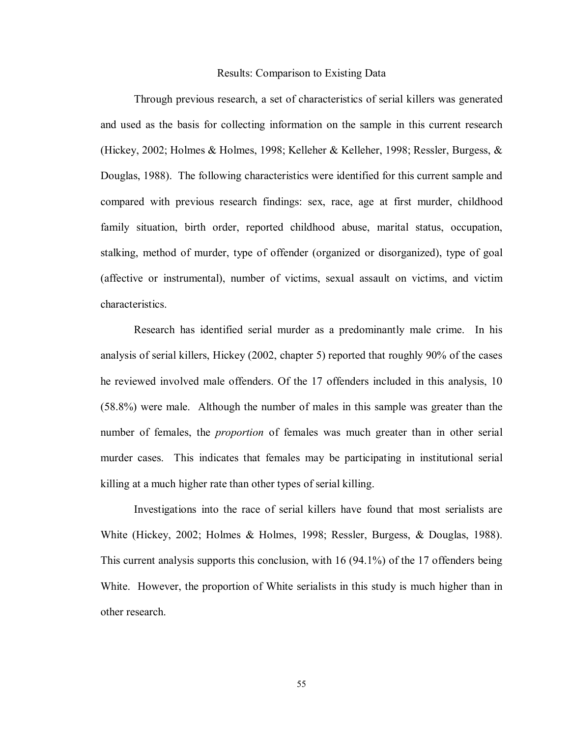#### Results: Comparison to Existing Data

 Through previous research, a set of characteristics of serial killers was generated and used as the basis for collecting information on the sample in this current research (Hickey, 2002; Holmes & Holmes, 1998; Kelleher & Kelleher, 1998; Ressler, Burgess, & Douglas, 1988). The following characteristics were identified for this current sample and compared with previous research findings: sex, race, age at first murder, childhood family situation, birth order, reported childhood abuse, marital status, occupation, stalking, method of murder, type of offender (organized or disorganized), type of goal (affective or instrumental), number of victims, sexual assault on victims, and victim characteristics.

 Research has identified serial murder as a predominantly male crime. In his analysis of serial killers, Hickey (2002, chapter 5) reported that roughly 90% of the cases he reviewed involved male offenders. Of the 17 offenders included in this analysis, 10 (58.8%) were male. Although the number of males in this sample was greater than the number of females, the *proportion* of females was much greater than in other serial murder cases. This indicates that females may be participating in institutional serial killing at a much higher rate than other types of serial killing.

 Investigations into the race of serial killers have found that most serialists are White (Hickey, 2002; Holmes & Holmes, 1998; Ressler, Burgess, & Douglas, 1988). This current analysis supports this conclusion, with 16 (94.1%) of the 17 offenders being White. However, the proportion of White serialists in this study is much higher than in other research.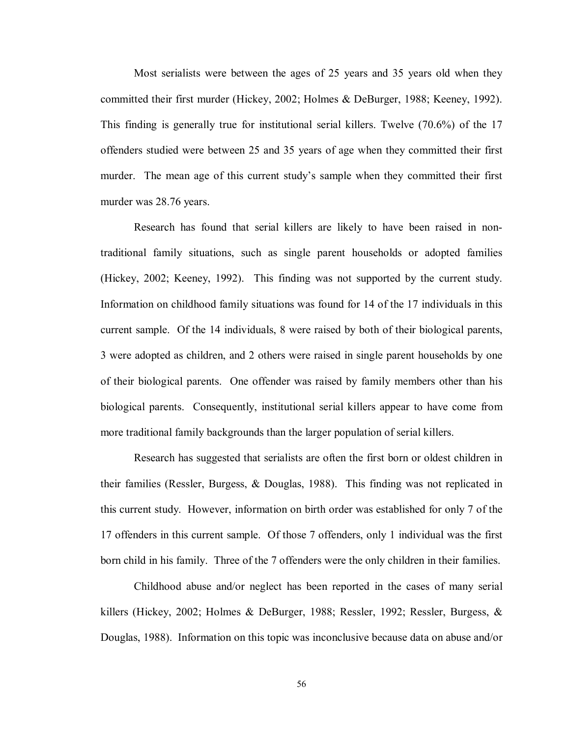Most serialists were between the ages of 25 years and 35 years old when they committed their first murder (Hickey, 2002; Holmes & DeBurger, 1988; Keeney, 1992). This finding is generally true for institutional serial killers. Twelve (70.6%) of the 17 offenders studied were between 25 and 35 years of age when they committed their first murder. The mean age of this current study's sample when they committed their first murder was 28.76 years.

 Research has found that serial killers are likely to have been raised in nontraditional family situations, such as single parent households or adopted families (Hickey, 2002; Keeney, 1992). This finding was not supported by the current study. Information on childhood family situations was found for 14 of the 17 individuals in this current sample. Of the 14 individuals, 8 were raised by both of their biological parents, 3 were adopted as children, and 2 others were raised in single parent households by one of their biological parents. One offender was raised by family members other than his biological parents. Consequently, institutional serial killers appear to have come from more traditional family backgrounds than the larger population of serial killers.

 Research has suggested that serialists are often the first born or oldest children in their families (Ressler, Burgess, & Douglas, 1988). This finding was not replicated in this current study. However, information on birth order was established for only 7 of the 17 offenders in this current sample. Of those 7 offenders, only 1 individual was the first born child in his family. Three of the 7 offenders were the only children in their families.

 Childhood abuse and/or neglect has been reported in the cases of many serial killers (Hickey, 2002; Holmes & DeBurger, 1988; Ressler, 1992; Ressler, Burgess, & Douglas, 1988). Information on this topic was inconclusive because data on abuse and/or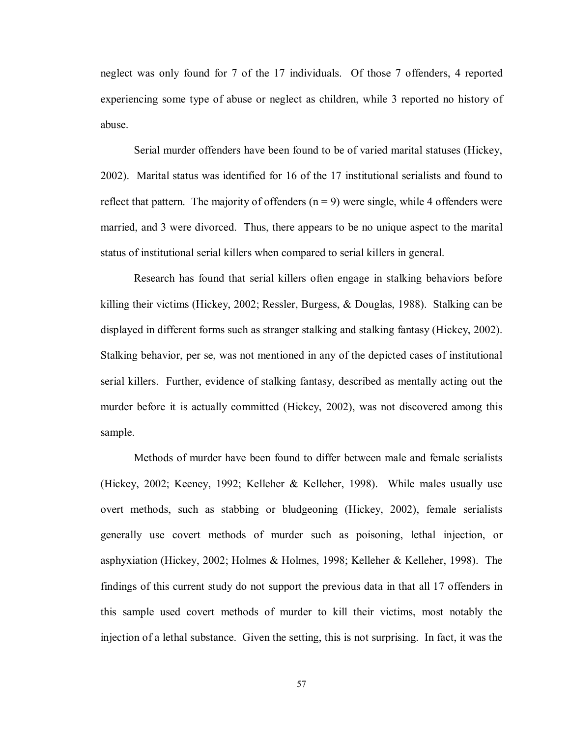neglect was only found for 7 of the 17 individuals. Of those 7 offenders, 4 reported experiencing some type of abuse or neglect as children, while 3 reported no history of abuse.

 Serial murder offenders have been found to be of varied marital statuses (Hickey, 2002). Marital status was identified for 16 of the 17 institutional serialists and found to reflect that pattern. The majority of offenders  $(n = 9)$  were single, while 4 offenders were married, and 3 were divorced. Thus, there appears to be no unique aspect to the marital status of institutional serial killers when compared to serial killers in general.

 Research has found that serial killers often engage in stalking behaviors before killing their victims (Hickey, 2002; Ressler, Burgess, & Douglas, 1988). Stalking can be displayed in different forms such as stranger stalking and stalking fantasy (Hickey, 2002). Stalking behavior, per se, was not mentioned in any of the depicted cases of institutional serial killers. Further, evidence of stalking fantasy, described as mentally acting out the murder before it is actually committed (Hickey, 2002), was not discovered among this sample.

 Methods of murder have been found to differ between male and female serialists (Hickey, 2002; Keeney, 1992; Kelleher & Kelleher, 1998). While males usually use overt methods, such as stabbing or bludgeoning (Hickey, 2002), female serialists generally use covert methods of murder such as poisoning, lethal injection, or asphyxiation (Hickey, 2002; Holmes & Holmes, 1998; Kelleher & Kelleher, 1998). The findings of this current study do not support the previous data in that all 17 offenders in this sample used covert methods of murder to kill their victims, most notably the injection of a lethal substance. Given the setting, this is not surprising. In fact, it was the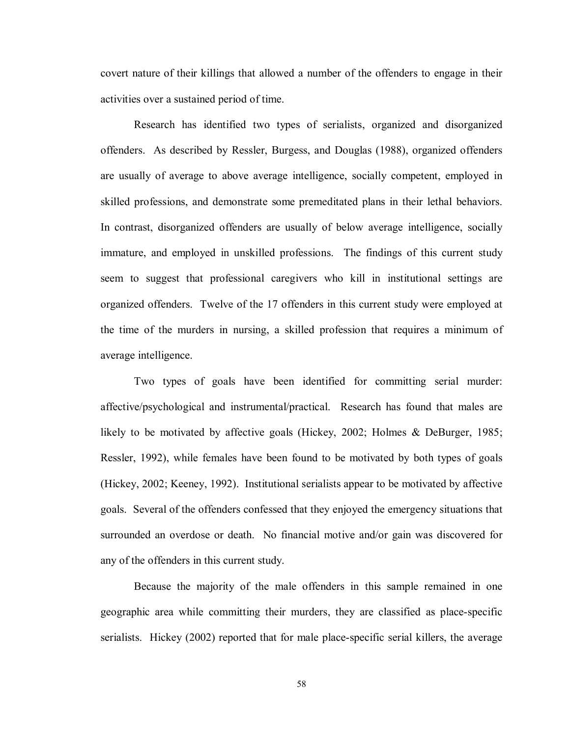covert nature of their killings that allowed a number of the offenders to engage in their activities over a sustained period of time.

 Research has identified two types of serialists, organized and disorganized offenders. As described by Ressler, Burgess, and Douglas (1988), organized offenders are usually of average to above average intelligence, socially competent, employed in skilled professions, and demonstrate some premeditated plans in their lethal behaviors. In contrast, disorganized offenders are usually of below average intelligence, socially immature, and employed in unskilled professions. The findings of this current study seem to suggest that professional caregivers who kill in institutional settings are organized offenders. Twelve of the 17 offenders in this current study were employed at the time of the murders in nursing, a skilled profession that requires a minimum of average intelligence.

 Two types of goals have been identified for committing serial murder: affective/psychological and instrumental/practical. Research has found that males are likely to be motivated by affective goals (Hickey, 2002; Holmes & DeBurger, 1985; Ressler, 1992), while females have been found to be motivated by both types of goals (Hickey, 2002; Keeney, 1992). Institutional serialists appear to be motivated by affective goals. Several of the offenders confessed that they enjoyed the emergency situations that surrounded an overdose or death. No financial motive and/or gain was discovered for any of the offenders in this current study.

 Because the majority of the male offenders in this sample remained in one geographic area while committing their murders, they are classified as place-specific serialists. Hickey (2002) reported that for male place-specific serial killers, the average

58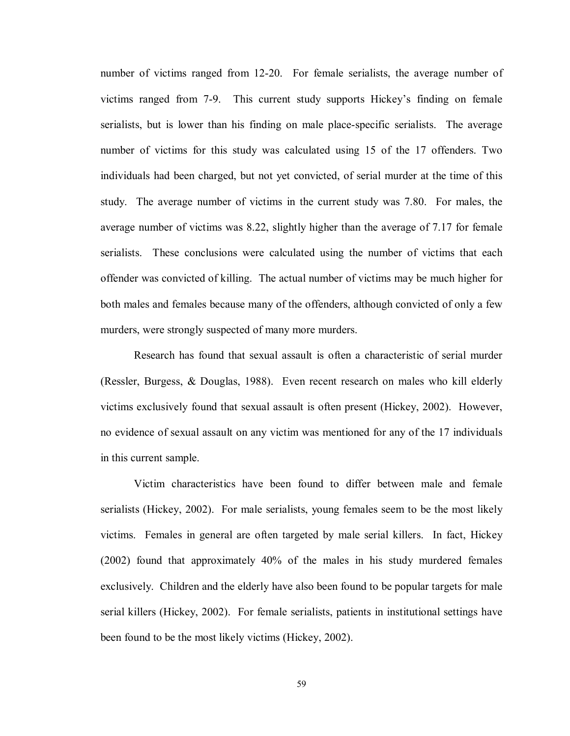number of victims ranged from 12-20. For female serialists, the average number of victims ranged from 7-9. This current study supports Hickey's finding on female serialists, but is lower than his finding on male place-specific serialists. The average number of victims for this study was calculated using 15 of the 17 offenders. Two individuals had been charged, but not yet convicted, of serial murder at the time of this study. The average number of victims in the current study was 7.80. For males, the average number of victims was 8.22, slightly higher than the average of 7.17 for female serialists. These conclusions were calculated using the number of victims that each offender was convicted of killing. The actual number of victims may be much higher for both males and females because many of the offenders, although convicted of only a few murders, were strongly suspected of many more murders.

 Research has found that sexual assault is often a characteristic of serial murder (Ressler, Burgess, & Douglas, 1988). Even recent research on males who kill elderly victims exclusively found that sexual assault is often present (Hickey, 2002). However, no evidence of sexual assault on any victim was mentioned for any of the 17 individuals in this current sample.

Victim characteristics have been found to differ between male and female serialists (Hickey, 2002). For male serialists, young females seem to be the most likely victims. Females in general are often targeted by male serial killers. In fact, Hickey (2002) found that approximately 40% of the males in his study murdered females exclusively. Children and the elderly have also been found to be popular targets for male serial killers (Hickey, 2002). For female serialists, patients in institutional settings have been found to be the most likely victims (Hickey, 2002).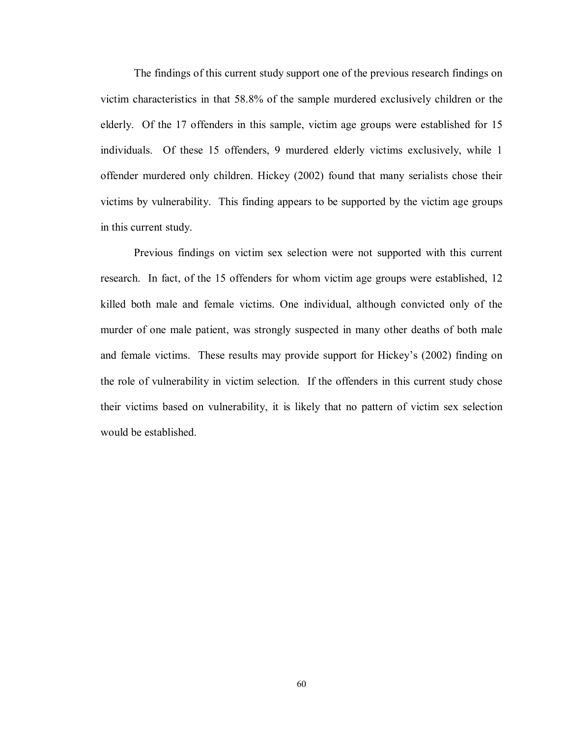The findings of this current study support one of the previous research findings on victim characteristics in that 58.8% of the sample murdered exclusively children or the elderly. Of the 17 offenders in this sample, victim age groups were established for 15 individuals. Of these 15 offenders, 9 murdered elderly victims exclusively, while 1 offender murdered only children. Hickey (2002) found that many serialists chose their victims by vulnerability. This finding appears to be supported by the victim age groups in this current study.

 Previous findings on victim sex selection were not supported with this current research. In fact, of the 15 offenders for whom victim age groups were established, 12 killed both male and female victims. One individual, although convicted only of the murder of one male patient, was strongly suspected in many other deaths of both male and female victims. These results may provide support for Hickey's (2002) finding on the role of vulnerability in victim selection. If the offenders in this current study chose their victims based on vulnerability, it is likely that no pattern of victim sex selection would be established.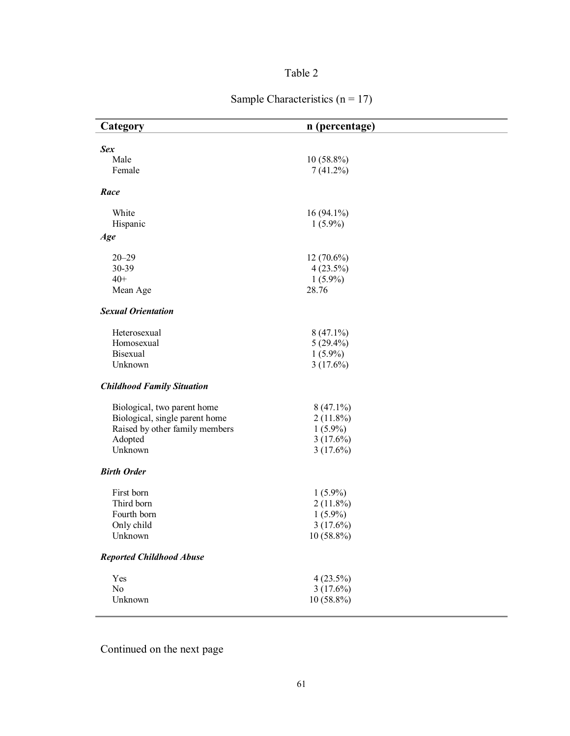# Table 2

| Sample Characteristics ( $n = 17$ ) |  |
|-------------------------------------|--|
|                                     |  |

| Category                                                      | n (percentage)              |  |
|---------------------------------------------------------------|-----------------------------|--|
|                                                               |                             |  |
| <b>Sex</b>                                                    |                             |  |
| Male<br>Female                                                | $10(58.8\%)$<br>$7(41.2\%)$ |  |
|                                                               |                             |  |
| Race                                                          |                             |  |
| White                                                         | $16(94.1\%)$                |  |
| Hispanic                                                      | $1(5.9\%)$                  |  |
| Age                                                           |                             |  |
| $20 - 29$                                                     | $12(70.6\%)$                |  |
| 30-39                                                         | $4(23.5\%)$                 |  |
| $40+$                                                         | $1(5.9\%)$                  |  |
| Mean Age                                                      | 28.76                       |  |
| <b>Sexual Orientation</b>                                     |                             |  |
| Heterosexual                                                  | $8(47.1\%)$                 |  |
| Homosexual                                                    | $5(29.4\%)$                 |  |
| Bisexual                                                      | $1(5.9\%)$                  |  |
| Unknown                                                       | $3(17.6\%)$                 |  |
| <b>Childhood Family Situation</b>                             |                             |  |
|                                                               | $8(47.1\%)$                 |  |
| Biological, two parent home<br>Biological, single parent home | $2(11.8\%)$                 |  |
| Raised by other family members                                | $1(5.9\%)$                  |  |
| Adopted                                                       | 3(17.6%)                    |  |
| Unknown                                                       | $3(17.6\%)$                 |  |
|                                                               |                             |  |
| <b>Birth Order</b>                                            |                             |  |
| First born                                                    | $1(5.9\%)$                  |  |
| Third born                                                    | $2(11.8\%)$                 |  |
| Fourth born                                                   | $1(5.9\%)$                  |  |
| Only child                                                    | $3(17.6\%)$                 |  |
| Unknown                                                       | 10 (58.8%)                  |  |
| <b>Reported Childhood Abuse</b>                               |                             |  |
| Yes                                                           | 4(23.5%)                    |  |
| No                                                            | $3(17.6\%)$                 |  |
| Unknown                                                       | 10 (58.8%)                  |  |
|                                                               |                             |  |

Continued on the next page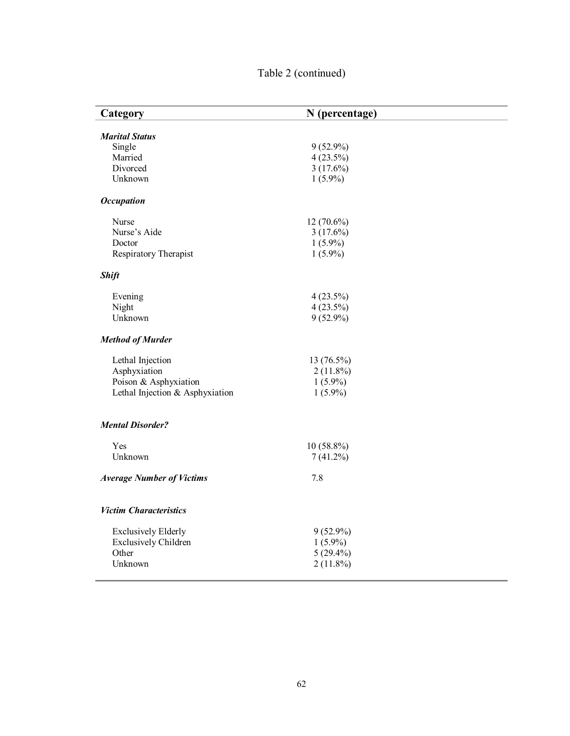| Table 2 (continued) |  |
|---------------------|--|
|---------------------|--|

| Category                         | N (percentage) |  |
|----------------------------------|----------------|--|
| <b>Marital Status</b>            |                |  |
| Single                           | $9(52.9\%)$    |  |
| Married                          | $4(23.5\%)$    |  |
| Divorced                         | $3(17.6\%)$    |  |
| Unknown                          | $1(5.9\%)$     |  |
| <b>Occupation</b>                |                |  |
| Nurse                            | $12(70.6\%)$   |  |
| Nurse's Aide                     | $3(17.6\%)$    |  |
| Doctor                           | $1(5.9\%)$     |  |
| Respiratory Therapist            | $1(5.9\%)$     |  |
| <b>Shift</b>                     |                |  |
| Evening                          | 4(23.5%)       |  |
| Night                            | $4(23.5\%)$    |  |
| Unknown                          | $9(52.9\%)$    |  |
| <b>Method of Murder</b>          |                |  |
| Lethal Injection                 | 13 (76.5%)     |  |
| Asphyxiation                     | $2(11.8\%)$    |  |
| Poison & Asphyxiation            | $1(5.9\%)$     |  |
| Lethal Injection & Asphyxiation  | $1(5.9\%)$     |  |
| <b>Mental Disorder?</b>          |                |  |
| Yes                              | $10(58.8\%)$   |  |
| Unknown                          | $7(41.2\%)$    |  |
| <b>Average Number of Victims</b> | 7.8            |  |
| <b>Victim Characteristics</b>    |                |  |
| <b>Exclusively Elderly</b>       | $9(52.9\%)$    |  |
| <b>Exclusively Children</b>      | $1(5.9\%)$     |  |
| Other                            | $5(29.4\%)$    |  |
| Unknown                          | $2(11.8\%)$    |  |
|                                  |                |  |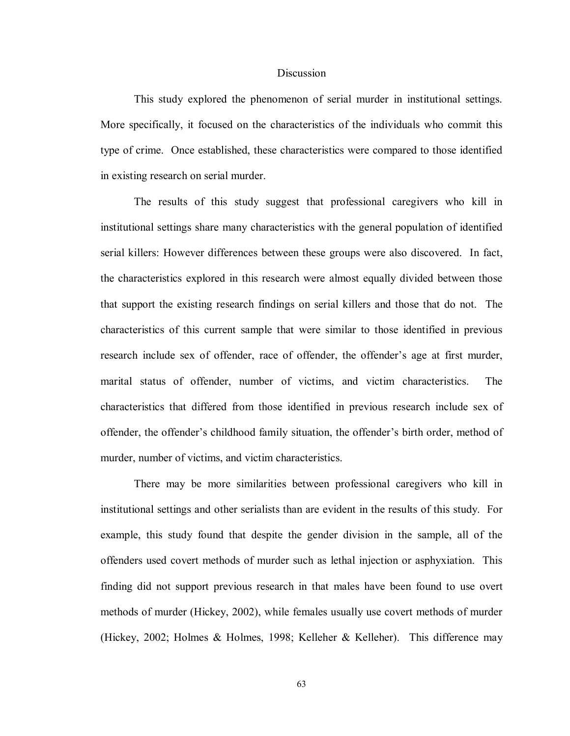## **Discussion**

 This study explored the phenomenon of serial murder in institutional settings. More specifically, it focused on the characteristics of the individuals who commit this type of crime. Once established, these characteristics were compared to those identified in existing research on serial murder.

 The results of this study suggest that professional caregivers who kill in institutional settings share many characteristics with the general population of identified serial killers: However differences between these groups were also discovered. In fact, the characteristics explored in this research were almost equally divided between those that support the existing research findings on serial killers and those that do not. The characteristics of this current sample that were similar to those identified in previous research include sex of offender, race of offender, the offender's age at first murder, marital status of offender, number of victims, and victim characteristics. The characteristics that differed from those identified in previous research include sex of offender, the offender's childhood family situation, the offender's birth order, method of murder, number of victims, and victim characteristics.

There may be more similarities between professional caregivers who kill in institutional settings and other serialists than are evident in the results of this study. For example, this study found that despite the gender division in the sample, all of the offenders used covert methods of murder such as lethal injection or asphyxiation. This finding did not support previous research in that males have been found to use overt methods of murder (Hickey, 2002), while females usually use covert methods of murder (Hickey, 2002; Holmes & Holmes, 1998; Kelleher & Kelleher). This difference may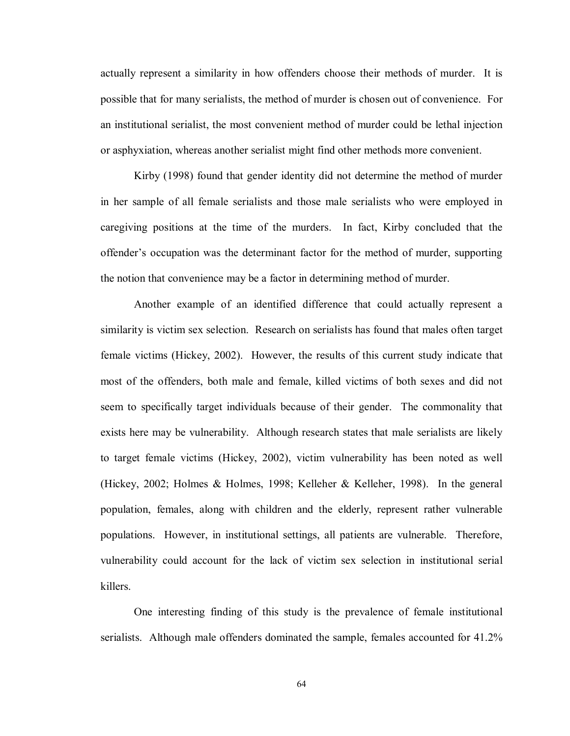actually represent a similarity in how offenders choose their methods of murder. It is possible that for many serialists, the method of murder is chosen out of convenience. For an institutional serialist, the most convenient method of murder could be lethal injection or asphyxiation, whereas another serialist might find other methods more convenient.

Kirby (1998) found that gender identity did not determine the method of murder in her sample of all female serialists and those male serialists who were employed in caregiving positions at the time of the murders. In fact, Kirby concluded that the offender's occupation was the determinant factor for the method of murder, supporting the notion that convenience may be a factor in determining method of murder.

 Another example of an identified difference that could actually represent a similarity is victim sex selection. Research on serialists has found that males often target female victims (Hickey, 2002). However, the results of this current study indicate that most of the offenders, both male and female, killed victims of both sexes and did not seem to specifically target individuals because of their gender. The commonality that exists here may be vulnerability. Although research states that male serialists are likely to target female victims (Hickey, 2002), victim vulnerability has been noted as well (Hickey, 2002; Holmes & Holmes, 1998; Kelleher & Kelleher, 1998). In the general population, females, along with children and the elderly, represent rather vulnerable populations. However, in institutional settings, all patients are vulnerable. Therefore, vulnerability could account for the lack of victim sex selection in institutional serial killers.

 One interesting finding of this study is the prevalence of female institutional serialists. Although male offenders dominated the sample, females accounted for 41.2%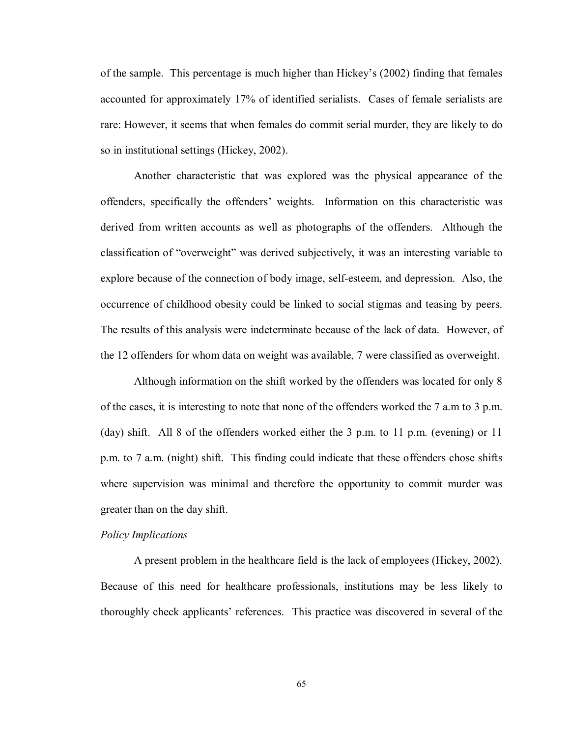of the sample. This percentage is much higher than Hickey's (2002) finding that females accounted for approximately 17% of identified serialists. Cases of female serialists are rare: However, it seems that when females do commit serial murder, they are likely to do so in institutional settings (Hickey, 2002).

 Another characteristic that was explored was the physical appearance of the offenders, specifically the offenders' weights. Information on this characteristic was derived from written accounts as well as photographs of the offenders. Although the classification of "overweight" was derived subjectively, it was an interesting variable to explore because of the connection of body image, self-esteem, and depression. Also, the occurrence of childhood obesity could be linked to social stigmas and teasing by peers. The results of this analysis were indeterminate because of the lack of data. However, of the 12 offenders for whom data on weight was available, 7 were classified as overweight.

 Although information on the shift worked by the offenders was located for only 8 of the cases, it is interesting to note that none of the offenders worked the 7 a.m to 3 p.m. (day) shift. All 8 of the offenders worked either the 3 p.m. to 11 p.m. (evening) or 11 p.m. to 7 a.m. (night) shift. This finding could indicate that these offenders chose shifts where supervision was minimal and therefore the opportunity to commit murder was greater than on the day shift.

# *Policy Implications*

A present problem in the healthcare field is the lack of employees (Hickey, 2002). Because of this need for healthcare professionals, institutions may be less likely to thoroughly check applicants' references. This practice was discovered in several of the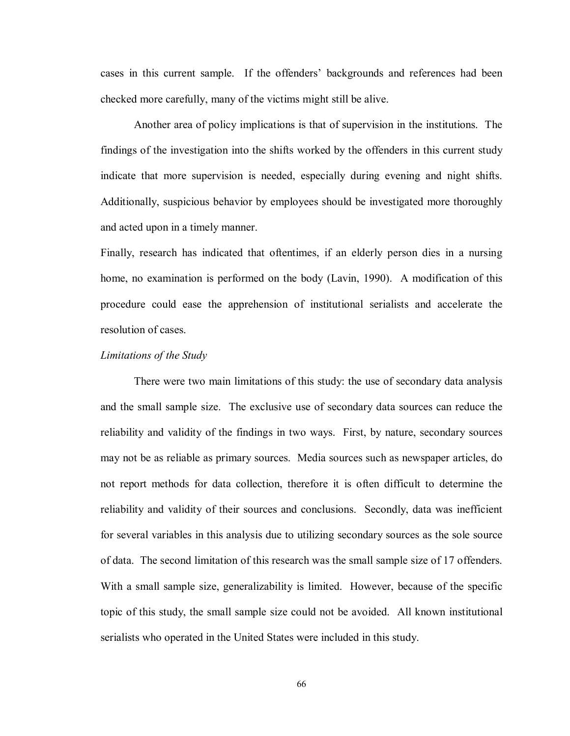cases in this current sample. If the offenders' backgrounds and references had been checked more carefully, many of the victims might still be alive.

Another area of policy implications is that of supervision in the institutions. The findings of the investigation into the shifts worked by the offenders in this current study indicate that more supervision is needed, especially during evening and night shifts. Additionally, suspicious behavior by employees should be investigated more thoroughly and acted upon in a timely manner.

Finally, research has indicated that oftentimes, if an elderly person dies in a nursing home, no examination is performed on the body (Lavin, 1990). A modification of this procedure could ease the apprehension of institutional serialists and accelerate the resolution of cases.

## *Limitations of the Study*

There were two main limitations of this study: the use of secondary data analysis and the small sample size. The exclusive use of secondary data sources can reduce the reliability and validity of the findings in two ways. First, by nature, secondary sources may not be as reliable as primary sources. Media sources such as newspaper articles, do not report methods for data collection, therefore it is often difficult to determine the reliability and validity of their sources and conclusions. Secondly, data was inefficient for several variables in this analysis due to utilizing secondary sources as the sole source of data. The second limitation of this research was the small sample size of 17 offenders. With a small sample size, generalizability is limited. However, because of the specific topic of this study, the small sample size could not be avoided. All known institutional serialists who operated in the United States were included in this study.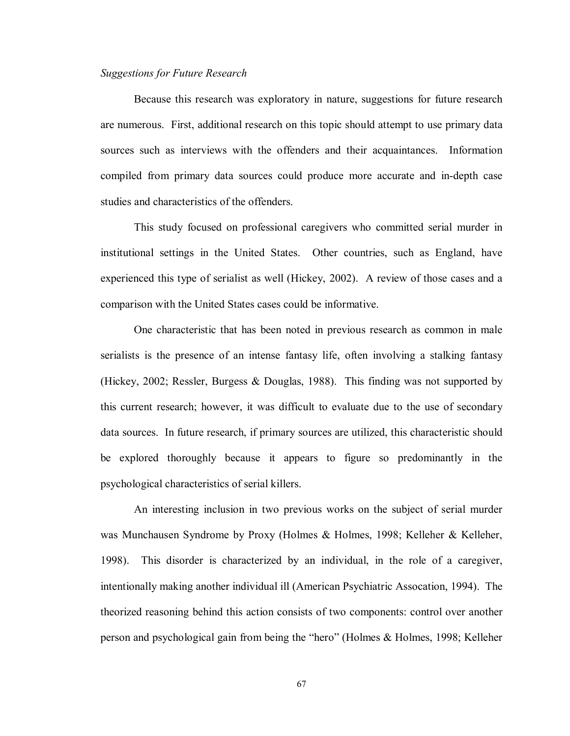## *Suggestions for Future Research*

 Because this research was exploratory in nature, suggestions for future research are numerous. First, additional research on this topic should attempt to use primary data sources such as interviews with the offenders and their acquaintances. Information compiled from primary data sources could produce more accurate and in-depth case studies and characteristics of the offenders.

 This study focused on professional caregivers who committed serial murder in institutional settings in the United States. Other countries, such as England, have experienced this type of serialist as well (Hickey, 2002). A review of those cases and a comparison with the United States cases could be informative.

 One characteristic that has been noted in previous research as common in male serialists is the presence of an intense fantasy life, often involving a stalking fantasy (Hickey, 2002; Ressler, Burgess & Douglas, 1988). This finding was not supported by this current research; however, it was difficult to evaluate due to the use of secondary data sources. In future research, if primary sources are utilized, this characteristic should be explored thoroughly because it appears to figure so predominantly in the psychological characteristics of serial killers.

 An interesting inclusion in two previous works on the subject of serial murder was Munchausen Syndrome by Proxy (Holmes & Holmes, 1998; Kelleher & Kelleher, 1998). This disorder is characterized by an individual, in the role of a caregiver, intentionally making another individual ill (American Psychiatric Assocation, 1994). The theorized reasoning behind this action consists of two components: control over another person and psychological gain from being the "hero" (Holmes & Holmes, 1998; Kelleher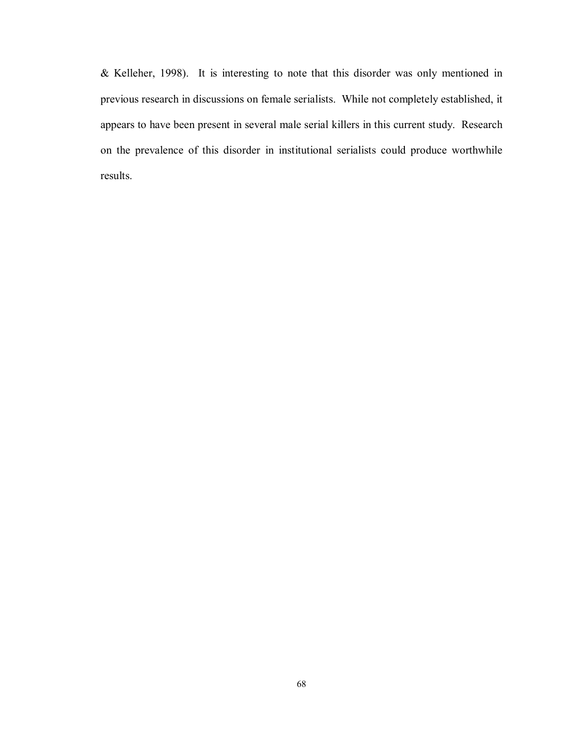& Kelleher, 1998). It is interesting to note that this disorder was only mentioned in previous research in discussions on female serialists. While not completely established, it appears to have been present in several male serial killers in this current study. Research on the prevalence of this disorder in institutional serialists could produce worthwhile results.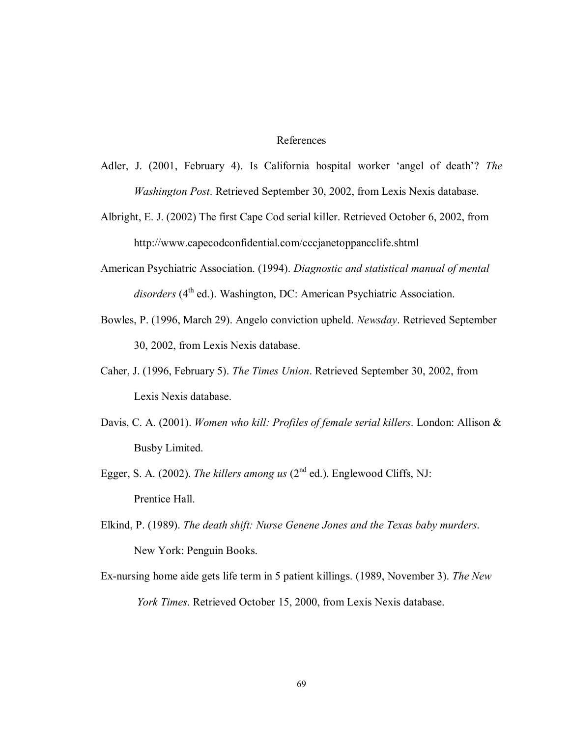## References

- Adler, J. (2001, February 4). Is California hospital worker 'angel of death'? *The Washington Post*. Retrieved September 30, 2002, from Lexis Nexis database.
- Albright, E. J. (2002) The first Cape Cod serial killer. Retrieved October 6, 2002, from http://www.capecodconfidential.com/cccjanetoppancclife.shtml
- American Psychiatric Association. (1994). *Diagnostic and statistical manual of mental disorders* (4<sup>th</sup> ed.). Washington, DC: American Psychiatric Association.
- Bowles, P. (1996, March 29). Angelo conviction upheld. *Newsday*. Retrieved September 30, 2002, from Lexis Nexis database.
- Caher, J. (1996, February 5). *The Times Union*. Retrieved September 30, 2002, from Lexis Nexis database.
- Davis, C. A. (2001). *Women who kill: Profiles of female serial killers*. London: Allison & Busby Limited.
- Egger, S. A. (2002). *The killers among us* (2<sup>nd</sup> ed.). Englewood Cliffs, NJ: Prentice Hall.
- Elkind, P. (1989). *The death shift: Nurse Genene Jones and the Texas baby murders*. New York: Penguin Books.
- Ex-nursing home aide gets life term in 5 patient killings. (1989, November 3). *The New York Times*. Retrieved October 15, 2000, from Lexis Nexis database.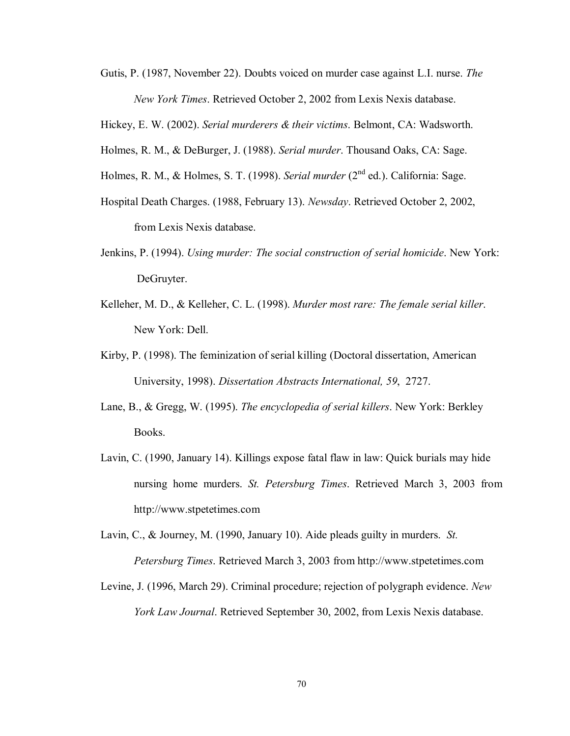Gutis, P. (1987, November 22). Doubts voiced on murder case against L.I. nurse. *The New York Times*. Retrieved October 2, 2002 from Lexis Nexis database.

Hickey, E. W. (2002). *Serial murderers & their victims*. Belmont, CA: Wadsworth.

- Holmes, R. M., & DeBurger, J. (1988). *Serial murder*. Thousand Oaks, CA: Sage.
- Holmes, R. M., & Holmes, S. T. (1998). *Serial murder* (2<sup>nd</sup> ed.). California: Sage.
- Hospital Death Charges. (1988, February 13). *Newsday*. Retrieved October 2, 2002, from Lexis Nexis database.
- Jenkins, P. (1994). *Using murder: The social construction of serial homicide*. New York: DeGruyter.
- Kelleher, M. D., & Kelleher, C. L. (1998). *Murder most rare: The female serial killer*. New York: Dell.
- Kirby, P. (1998). The feminization of serial killing (Doctoral dissertation, American University, 1998). *Dissertation Abstracts International, 59*, 2727.
- Lane, B., & Gregg, W. (1995). *The encyclopedia of serial killers*. New York: Berkley Books.
- Lavin, C. (1990, January 14). Killings expose fatal flaw in law: Quick burials may hide nursing home murders. *St. Petersburg Times*. Retrieved March 3, 2003 from http://www.stpetetimes.com
- Lavin, C., & Journey, M. (1990, January 10). Aide pleads guilty in murders. *St. Petersburg Times*. Retrieved March 3, 2003 from http://www.stpetetimes.com
- Levine, J. (1996, March 29). Criminal procedure; rejection of polygraph evidence. *New York Law Journal*. Retrieved September 30, 2002, from Lexis Nexis database.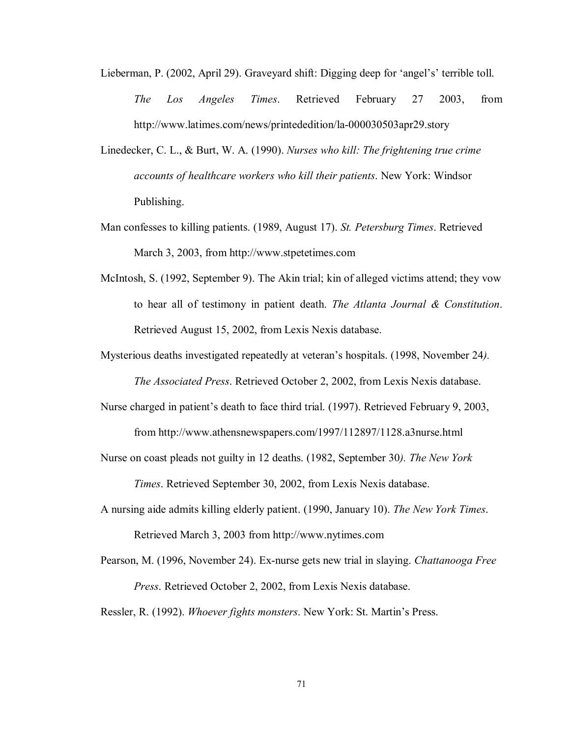- Lieberman, P. (2002, April 29). Graveyard shift: Digging deep for 'angel's' terrible toll. *The Los Angeles Times*. Retrieved February 27 2003, from http://www.latimes.com/news/printededition/la-000030503apr29.story
- Linedecker, C. L., & Burt, W. A. (1990). *Nurses who kill: The frightening true crime accounts of healthcare workers who kill their patients*. New York: Windsor Publishing.
- Man confesses to killing patients. (1989, August 17). *St. Petersburg Times*. Retrieved March 3, 2003, from http://www.stpetetimes.com
- McIntosh, S. (1992, September 9). The Akin trial; kin of alleged victims attend; they vow to hear all of testimony in patient death. *The Atlanta Journal & Constitution*. Retrieved August 15, 2002, from Lexis Nexis database.
- Mysterious deaths investigated repeatedly at veteran's hospitals. (1998, November 24*).*

*The Associated Press*. Retrieved October 2, 2002, from Lexis Nexis database.

Nurse charged in patient's death to face third trial. (1997). Retrieved February 9, 2003,

from http://www.athensnewspapers.com/1997/112897/1128.a3nurse.html

Nurse on coast pleads not guilty in 12 deaths. (1982, September 30*). The New York* 

*Times*. Retrieved September 30, 2002, from Lexis Nexis database.

- A nursing aide admits killing elderly patient. (1990, January 10). *The New York Times*. Retrieved March 3, 2003 from http://www.nytimes.com
- Pearson, M. (1996, November 24). Ex-nurse gets new trial in slaying. *Chattanooga Free Press*. Retrieved October 2, 2002, from Lexis Nexis database.

Ressler, R. (1992). *Whoever fights monsters*. New York: St. Martin's Press.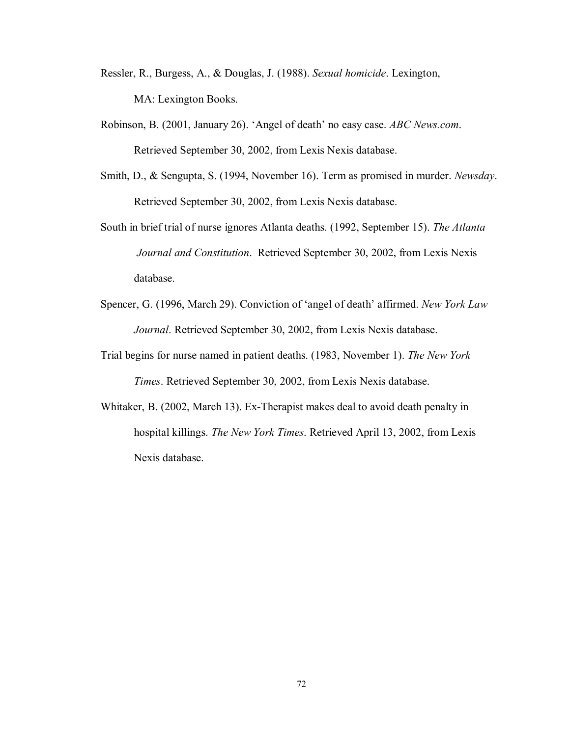- Ressler, R., Burgess, A., & Douglas, J. (1988). *Sexual homicide*. Lexington, MA: Lexington Books.
- Robinson, B. (2001, January 26). 'Angel of death' no easy case. *ABC News.com*. Retrieved September 30, 2002, from Lexis Nexis database.
- Smith, D., & Sengupta, S. (1994, November 16). Term as promised in murder. *Newsday*. Retrieved September 30, 2002, from Lexis Nexis database.
- South in brief trial of nurse ignores Atlanta deaths. (1992, September 15). *The Atlanta Journal and Constitution*. Retrieved September 30, 2002, from Lexis Nexis database.
- Spencer, G. (1996, March 29). Conviction of 'angel of death' affirmed. *New York Law Journal*. Retrieved September 30, 2002, from Lexis Nexis database.
- Trial begins for nurse named in patient deaths. (1983, November 1). *The New York Times*. Retrieved September 30, 2002, from Lexis Nexis database.
- Whitaker, B. (2002, March 13). Ex-Therapist makes deal to avoid death penalty in hospital killings. *The New York Times*. Retrieved April 13, 2002, from Lexis Nexis database.